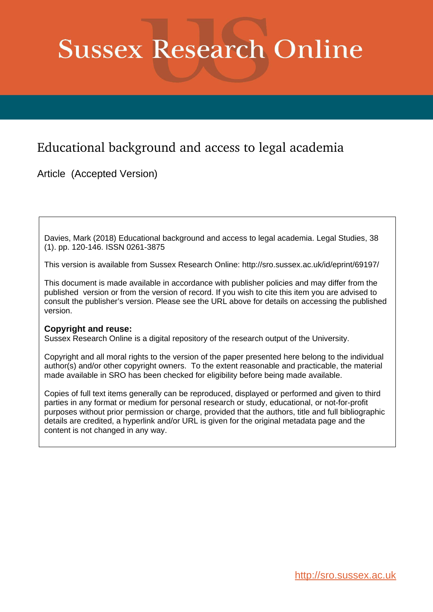# **Sussex Research Online**

# Educational background and access to legal academia

Article (Accepted Version)

Davies, Mark (2018) Educational background and access to legal academia. Legal Studies, 38 (1). pp. 120-146. ISSN 0261-3875

This version is available from Sussex Research Online: http://sro.sussex.ac.uk/id/eprint/69197/

This document is made available in accordance with publisher policies and may differ from the published version or from the version of record. If you wish to cite this item you are advised to consult the publisher's version. Please see the URL above for details on accessing the published version.

# **Copyright and reuse:**

Sussex Research Online is a digital repository of the research output of the University.

Copyright and all moral rights to the version of the paper presented here belong to the individual author(s) and/or other copyright owners. To the extent reasonable and practicable, the material made available in SRO has been checked for eligibility before being made available.

Copies of full text items generally can be reproduced, displayed or performed and given to third parties in any format or medium for personal research or study, educational, or not-for-profit purposes without prior permission or charge, provided that the authors, title and full bibliographic details are credited, a hyperlink and/or URL is given for the original metadata page and the content is not changed in any way.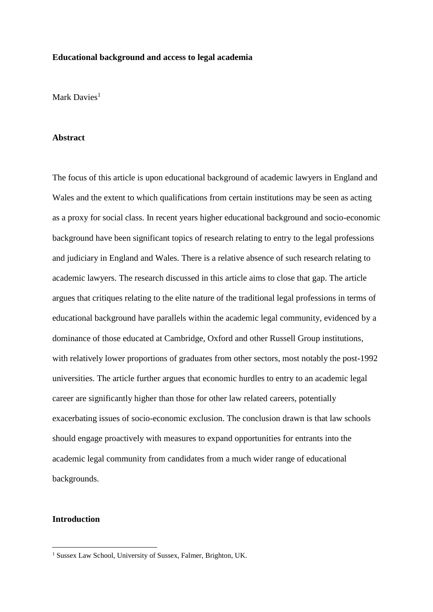# **Educational background and access to legal academia**

Mark Davies<sup>1</sup>

# **Abstract**

The focus of this article is upon educational background of academic lawyers in England and Wales and the extent to which qualifications from certain institutions may be seen as acting as a proxy for social class. In recent years higher educational background and socio-economic background have been significant topics of research relating to entry to the legal professions and judiciary in England and Wales. There is a relative absence of such research relating to academic lawyers. The research discussed in this article aims to close that gap. The article argues that critiques relating to the elite nature of the traditional legal professions in terms of educational background have parallels within the academic legal community, evidenced by a dominance of those educated at Cambridge, Oxford and other Russell Group institutions, with relatively lower proportions of graduates from other sectors, most notably the post-1992 universities. The article further argues that economic hurdles to entry to an academic legal career are significantly higher than those for other law related careers, potentially exacerbating issues of socio-economic exclusion. The conclusion drawn is that law schools should engage proactively with measures to expand opportunities for entrants into the academic legal community from candidates from a much wider range of educational backgrounds.

# **Introduction**

<sup>1</sup> Sussex Law School, University of Sussex, Falmer, Brighton, UK.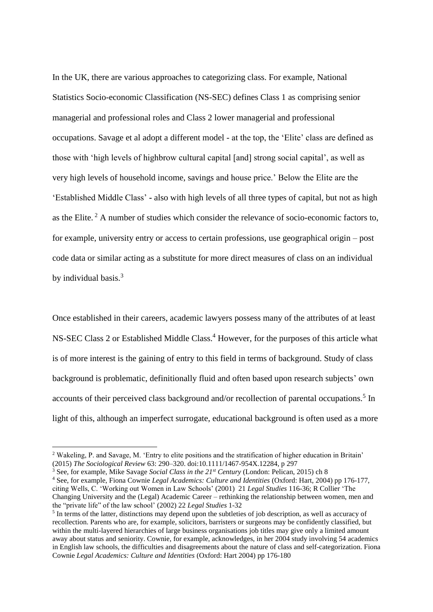In the UK, there are various approaches to categorizing class. For example, National Statistics Socio-economic Classification (NS-SEC) defines Class 1 as comprising senior managerial and professional roles and Class 2 lower managerial and professional occupations. Savage et al adopt a different model - at the top, the 'Elite' class are defined as those with 'high levels of highbrow cultural capital [and] strong social capital', as well as very high levels of household income, savings and house price.' Below the Elite are the 'Established Middle Class' **-** also with high levels of all three types of capital, but not as high as the Elite. <sup>2</sup> A number of studies which consider the relevance of socio-economic factors to, for example, university entry or access to certain professions, use geographical origin – post code data or similar acting as a substitute for more direct measures of class on an individual by individual basis.<sup>3</sup>

Once established in their careers, academic lawyers possess many of the attributes of at least NS-SEC Class 2 or Established Middle Class.<sup>4</sup> However, for the purposes of this article what is of more interest is the gaining of entry to this field in terms of background. Study of class background is problematic, definitionally fluid and often based upon research subjects' own accounts of their perceived class background and/or recollection of parental occupations.<sup>5</sup> In light of this, although an imperfect surrogate, educational background is often used as a more

<sup>2</sup> Wakeling, P. and Savage, M. 'Entry to elite positions and the stratification of higher education in Britain' (2015) *The Sociological Review* 63: 290–320. doi:10.1111/1467-954X.12284, p 297

<sup>3</sup> See, for example, Mike Savage *Social Class in the 21st Century* (London: Pelican, 2015) ch 8

<sup>4</sup> See, for example, Fiona Cownie *Legal Academics: Culture and Identities* (Oxford: Hart, 2004) pp 176-177, citing Wells, C. 'Working out Women in Law Schools' (2001) 21 *Legal Studies* 116-36; R Collier 'The Changing University and the (Legal) Academic Career – rethinking the relationship between women, men and the "private life" of the law school' (2002) 22 *Legal Studies* 1-32

<sup>&</sup>lt;sup>5</sup> In terms of the latter, distinctions may depend upon the subtleties of job description, as well as accuracy of recollection. Parents who are, for example, solicitors, barristers or surgeons may be confidently classified, but within the multi-layered hierarchies of large business organisations job titles may give only a limited amount away about status and seniority. Cownie, for example, acknowledges, in her 2004 study involving 54 academics in English law schools, the difficulties and disagreements about the nature of class and self-categorization. Fiona Cownie *Legal Academics: Culture and Identities* (Oxford: Hart 2004) pp 176-180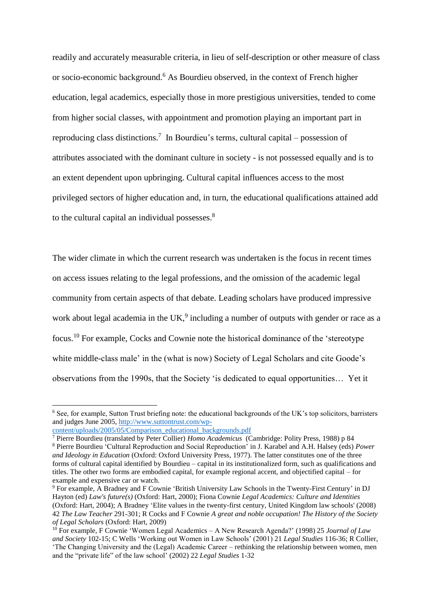readily and accurately measurable criteria, in lieu of self-description or other measure of class or socio-economic background.<sup>6</sup> As Bourdieu observed, in the context of French higher education, legal academics, especially those in more prestigious universities, tended to come from higher social classes, with appointment and promotion playing an important part in reproducing class distinctions.<sup>7</sup> In Bourdieu's terms, cultural capital – possession of attributes associated with the dominant culture in society - is not possessed equally and is to an extent dependent upon upbringing. Cultural capital influences access to the most privileged sectors of higher education and, in turn, the educational qualifications attained add to the cultural capital an individual possesses.<sup>8</sup>

The wider climate in which the current research was undertaken is the focus in recent times on access issues relating to the legal professions, and the omission of the academic legal community from certain aspects of that debate. Leading scholars have produced impressive work about legal academia in the  $UK<sup>9</sup>$  including a number of outputs with gender or race as a focus.<sup>10</sup> For example, Cocks and Cownie note the historical dominance of the 'stereotype white middle-class male' in the (what is now) Society of Legal Scholars and cite Goode's observations from the 1990s, that the Society 'is dedicated to equal opportunities… Yet it

<sup>6</sup> See, for example, Sutton Trust briefing note: the educational backgrounds of the UK's top solicitors, barristers and judges June 2005, [http://www.suttontrust.com/wp-](http://www.suttontrust.com/wp-content/uploads/2005/05/Comparison_educational_backgrounds.pdf)

[content/uploads/2005/05/Comparison\\_educational\\_backgrounds.pdf](http://www.suttontrust.com/wp-content/uploads/2005/05/Comparison_educational_backgrounds.pdf)

<sup>7</sup> Pierre Bourdieu (translated by Peter Collier) *Homo Academicus* (Cambridge: Polity Press, 1988) p 84 <sup>8</sup> Pierre Bourdieu 'Cultural Reproduction and Social Reproduction' in J. Karabel and A.H. Halsey (eds) *Power and Ideology in Education* (Oxford: Oxford University Press, 1977). The latter constitutes one of the three forms of cultural capital identified by Bourdieu – capital in its institutionalized form, such as qualifications and titles. The other two forms are embodied capital, for example regional accent, and objectified capital – for example and expensive car or watch.

<sup>9</sup> For example, A Bradney and F Cownie 'British University Law Schools in the Twenty-First Century' in DJ Hayton (ed) *Law's future(s)* (Oxford: Hart, 2000); Fiona Cownie *Legal Academics: Culture and Identities* (Oxford: Hart, 2004); A Bradney 'Elite values in the twenty-first century, United Kingdom law schools' (2008) 42 *The Law Teacher* 291-301; R Cocks and F Cownie *A great and noble occupation! The History of the Society of Legal Scholars* (Oxford: Hart, 2009)

<sup>10</sup> For example, F Cownie 'Women Legal Academics – A New Research Agenda?' (1998) 25 *Journal of Law and Society* 102-15; C Wells 'Working out Women in Law Schools' (2001) 21 *Legal Studies* 116-36; R Collier, 'The Changing University and the (Legal) Academic Career – rethinking the relationship between women, men and the "private life" of the law school' (2002) 22 *Legal Studies* 1-32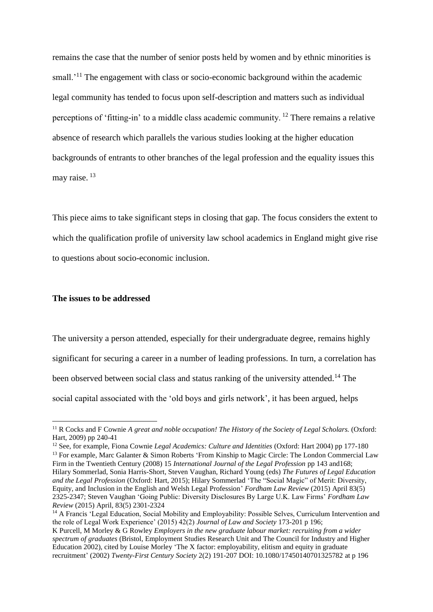remains the case that the number of senior posts held by women and by ethnic minorities is small.<sup>'11</sup> The engagement with class or socio-economic background within the academic legal community has tended to focus upon self-description and matters such as individual perceptions of 'fitting-in' to a middle class academic community. <sup>12</sup> There remains a relative absence of research which parallels the various studies looking at the higher education backgrounds of entrants to other branches of the legal profession and the equality issues this may raise.<sup>13</sup>

This piece aims to take significant steps in closing that gap. The focus considers the extent to which the qualification profile of university law school academics in England might give rise to questions about socio-economic inclusion.

# **The issues to be addressed**

The university a person attended, especially for their undergraduate degree, remains highly significant for securing a career in a number of leading professions. In turn, a correlation has been observed between social class and status ranking of the university attended.<sup>14</sup> The social capital associated with the 'old boys and girls network', it has been argued, helps

<sup>11</sup> R Cocks and F Cownie *A great and noble occupation! The History of the Society of Legal Scholars.* (Oxford: Hart, 2009) pp 240-41

<sup>12</sup> See, for example, Fiona Cownie *Legal Academics: Culture and Identities* (Oxford: Hart 2004) pp 177-180

<sup>&</sup>lt;sup>13</sup> For example, Marc Galanter & Simon Roberts 'From Kinship to Magic Circle: The London Commercial Law Firm in the Twentieth Century (2008) 15 *International Journal of the Legal Profession* pp 143 and168; Hilary Sommerlad, Sonia Harris-Short, Steven Vaughan, Richard Young (eds) *The Futures of Legal Education and the Legal Profession* (Oxford: Hart, 2015); Hilary Sommerlad ['The "Social Magic" of Merit: Diversity,](http://fordhamlawreview.org/articles/the-social-magic-of-merit-diversity-equity-and-inclusion-in-the-english-and-welsh-legal-profession)  [Equity, and Inclusion in the English and Welsh Legal Profession'](http://fordhamlawreview.org/articles/the-social-magic-of-merit-diversity-equity-and-inclusion-in-the-english-and-welsh-legal-profession) *Fordham Law Review* (2015[\) April](http://fordhamlawreview.org/issues/137) 83(5) 2325-2347; Steven Vaughan 'Going Public: Diversity Disclosures By Large U.K. Law Firms' *Fordham Law Review* [\(2015\) April, 83\(5\)](http://fordhamlawreview.org/issues/137) 2301-2324

<sup>&</sup>lt;sup>14</sup> A Francis 'Legal Education, Social Mobility and Employability: Possible Selves, Curriculum Intervention and the role of Legal Work Experience' (2015) 42(2) *Journal of Law and Society* 173-201 p 196;

K Purcell, M Morley & G Rowley *Employers in the new graduate labour market: recruiting from a wider spectrum of graduates* (Bristol, Employment Studies Research Unit and The Council for Industry and Higher Education 2002), cited by Louise Morley 'The X factor: employability, elitism and equity in graduate recruitment' (2002) *Twenty-First Century Society* 2(2) 191-207 DOI: 10.1080/17450140701325782 at p 196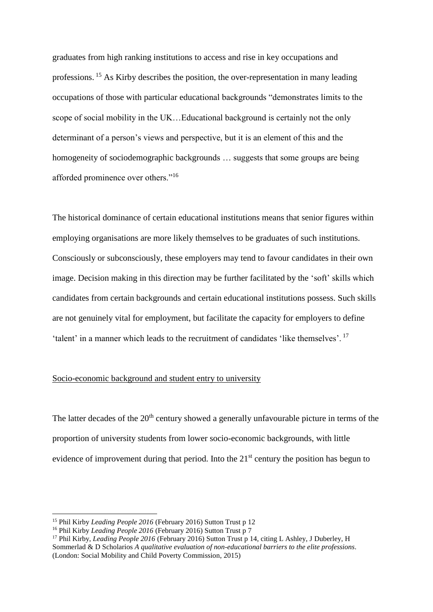graduates from high ranking institutions to access and rise in key occupations and professions.<sup>15</sup> As Kirby describes the position, the over-representation in many leading occupations of those with particular educational backgrounds "demonstrates limits to the scope of social mobility in the UK…Educational background is certainly not the only determinant of a person's views and perspective, but it is an element of this and the homogeneity of sociodemographic backgrounds … suggests that some groups are being afforded prominence over others."<sup>16</sup>

The historical dominance of certain educational institutions means that senior figures within employing organisations are more likely themselves to be graduates of such institutions. Consciously or subconsciously, these employers may tend to favour candidates in their own image. Decision making in this direction may be further facilitated by the 'soft' skills which candidates from certain backgrounds and certain educational institutions possess. Such skills are not genuinely vital for employment, but facilitate the capacity for employers to define 'talent' in a manner which leads to the recruitment of candidates 'like themselves'. <sup>17</sup>

# Socio-economic background and student entry to university

The latter decades of the  $20<sup>th</sup>$  century showed a generally unfavourable picture in terms of the proportion of university students from lower socio-economic backgrounds, with little evidence of improvement during that period. Into the  $21<sup>st</sup>$  century the position has begun to

<sup>15</sup> Phil Kirby *Leading People 2016* (February 2016) Sutton Trust p 12

<sup>16</sup> Phil Kirby *Leading People 2016* (February 2016) Sutton Trust p 7

<sup>&</sup>lt;sup>17</sup> Phil Kirby, *Leading People 2016* (February 2016) Sutton Trust p 14, citing L Ashley, J Duberley, H Sommerlad & D Scholarios *A qualitative evaluation of non-educational barriers to the elite professions*. (London: Social Mobility and Child Poverty Commission, 2015)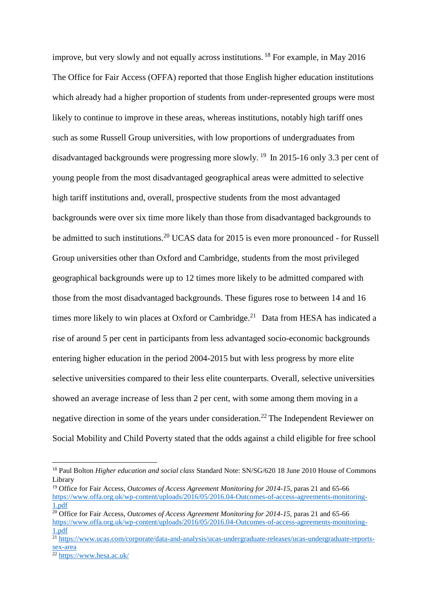improve, but very slowly and not equally across institutions. <sup>18</sup> For example, in May 2016 The Office for Fair Access (OFFA) reported that those English higher education institutions which already had a higher proportion of students from under-represented groups were most likely to continue to improve in these areas, whereas institutions, notably high tariff ones such as some Russell Group universities, with low proportions of undergraduates from disadvantaged backgrounds were progressing more slowly.<sup>19</sup> In 2015-16 only 3.3 per cent of young people from the most disadvantaged geographical areas were admitted to selective high tariff institutions and, overall, prospective students from the most advantaged backgrounds were over six time more likely than those from disadvantaged backgrounds to be admitted to such institutions.<sup>20</sup> UCAS data for 2015 is even more pronounced - for Russell Group universities other than Oxford and Cambridge, students from the most privileged geographical backgrounds were up to 12 times more likely to be admitted compared with those from the most disadvantaged backgrounds. These figures rose to between 14 and 16 times more likely to win places at Oxford or Cambridge.<sup>21</sup> Data from HESA has indicated a rise of around 5 per cent in participants from less advantaged socio-economic backgrounds entering higher education in the period 2004-2015 but with less progress by more elite selective universities compared to their less elite counterparts. Overall, selective universities showed an average increase of less than 2 per cent, with some among them moving in a negative direction in some of the years under consideration.<sup>22</sup> The Independent Reviewer on Social Mobility and Child Poverty stated that the odds against a child eligible for free school

<sup>18</sup> Paul Bolton *Higher education and social class* Standard Note: SN/SG/620 18 June 2010 House of Commons Library

<sup>&</sup>lt;sup>19</sup> Office for Fair Access, *Outcomes of Access Agreement Monitoring for 2014-15*, paras 21 and 65-66 [https://www.offa.org.uk/wp-content/uploads/2016/05/2016.04-Outcomes-of-access-agreements-monitoring-](https://www.offa.org.uk/wp-content/uploads/2016/05/2016.04-Outcomes-of-access-agreements-monitoring-1.pdf)[1.pdf](https://www.offa.org.uk/wp-content/uploads/2016/05/2016.04-Outcomes-of-access-agreements-monitoring-1.pdf)

<sup>&</sup>lt;sup>20</sup> Office for Fair Access, *Outcomes of Access Agreement Monitoring for 2014-15*, paras 21 and 65-66 [https://www.offa.org.uk/wp-content/uploads/2016/05/2016.04-Outcomes-of-access-agreements-monitoring-](https://www.offa.org.uk/wp-content/uploads/2016/05/2016.04-Outcomes-of-access-agreements-monitoring-1.pdf)[1.pdf](https://www.offa.org.uk/wp-content/uploads/2016/05/2016.04-Outcomes-of-access-agreements-monitoring-1.pdf)

<sup>&</sup>lt;sup>21</sup> [https://www.ucas.com/corporate/data-and-analysis/ucas-undergraduate-releases/ucas-undergraduate-reports](https://www.ucas.com/corporate/data-and-analysis/ucas-undergraduate-releases/ucas-undergraduate-reports-sex-area)[sex-area](https://www.ucas.com/corporate/data-and-analysis/ucas-undergraduate-releases/ucas-undergraduate-reports-sex-area)

 $rac{324 \text{ litres}}{22 \text{ https://www.hesa.ac.uk/}}$  $rac{324 \text{ litres}}{22 \text{ https://www.hesa.ac.uk/}}$  $rac{324 \text{ litres}}{22 \text{ https://www.hesa.ac.uk/}}$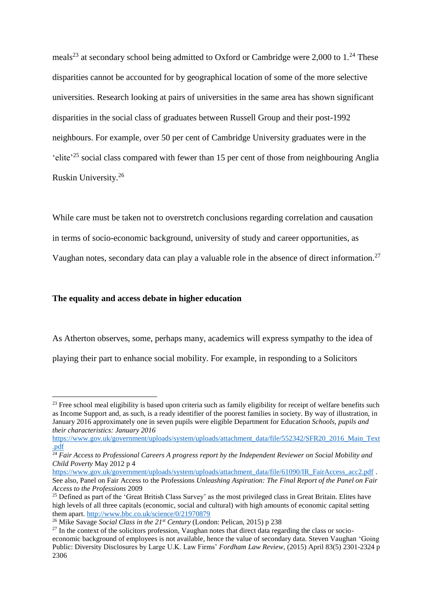meals<sup>23</sup> at secondary school being admitted to Oxford or Cambridge were 2,000 to  $1.^{24}$  These disparities cannot be accounted for by geographical location of some of the more selective universities. Research looking at pairs of universities in the same area has shown significant disparities in the social class of graduates between Russell Group and their post-1992 neighbours. For example, over 50 per cent of Cambridge University graduates were in the 'elite<sup>'25</sup> social class compared with fewer than 15 per cent of those from neighbouring Anglia Ruskin University. 26

While care must be taken not to overstretch conclusions regarding correlation and causation in terms of socio-economic background, university of study and career opportunities, as Vaughan notes, secondary data can play a valuable role in the absence of direct information.<sup>27</sup>

# **The equality and access debate in higher education**

As Atherton observes, some, perhaps many, academics will express sympathy to the idea of playing their part to enhance social mobility. For example, in responding to a Solicitors

 $23$  Free school meal eligibility is based upon criteria such as family eligibility for receipt of welfare benefits such as Income Support and, as such, is a ready identifier of the poorest families in society. By way of illustration, in January 2016 approximately one in seven pupils were eligible Department for Education *Schools, pupils and their characteristics: January 2016*

[https://www.gov.uk/government/uploads/system/uploads/attachment\\_data/file/552342/SFR20\\_2016\\_Main\\_Text](https://www.gov.uk/government/uploads/system/uploads/attachment_data/file/552342/SFR20_2016_Main_Text.pdf) [.pdf](https://www.gov.uk/government/uploads/system/uploads/attachment_data/file/552342/SFR20_2016_Main_Text.pdf)

<sup>24</sup> *Fair Access to Professional Careers A progress report by the Independent Reviewer on Social Mobility and Child Poverty* May 2012 p 4

[https://www.gov.uk/government/uploads/system/uploads/attachment\\_data/file/61090/IR\\_FairAccess\\_acc2.pdf](https://www.gov.uk/government/uploads/system/uploads/attachment_data/file/61090/IR_FairAccess_acc2.pdf) . See also, Panel on Fair Access to the Professions *Unleashing Aspiration: The Final Report of the Panel on Fair Access to the Professions* 2009

<sup>&</sup>lt;sup>25</sup> Defined as part of the 'Great British Class Survey' as the most privileged class in Great Britain. Elites have high levels of all three capitals (economic, social and cultural) with high amounts of economic capital setting them apart.<http://www.bbc.co.uk/science/0/21970879>

<sup>26</sup> Mike Savage *Social Class in the 21st Century* (London: Pelican, 2015) p 238

 $^{27}$  In the context of the solicitors profession. Vaughan notes that direct data regarding the class or socioeconomic background of employees is not available, hence the value of secondary data. Steven Vaughan 'Going Public: Diversity Disclosures by Large U.K. Law Firms' *Fordham Law Review*, (2015) [April](http://fordhamlawreview.org/issues/137) 83(5) 2301-2324 p 2306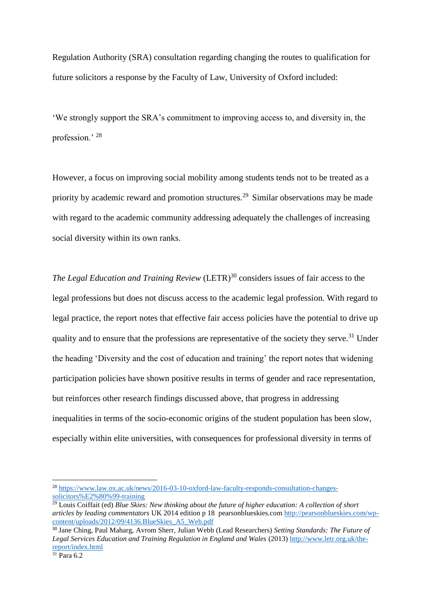Regulation Authority (SRA) consultation regarding changing the routes to qualification for future solicitors a response by the Faculty of Law, University of Oxford included:

'We strongly support the SRA's commitment to improving access to, and diversity in, the profession.' <sup>28</sup>

However, a focus on improving social mobility among students tends not to be treated as a priority by academic reward and promotion structures.<sup>29</sup> Similar observations may be made with regard to the academic community addressing adequately the challenges of increasing social diversity within its own ranks.

*The Legal Education and Training Review* (LETR)<sup>30</sup> considers issues of fair access to the legal professions but does not discuss access to the academic legal profession. With regard to legal practice, the report notes that effective fair access policies have the potential to drive up quality and to ensure that the professions are representative of the society they serve.<sup>31</sup> Under the heading 'Diversity and the cost of education and training' the report notes that widening participation policies have shown positive results in terms of gender and race representation, but reinforces other research findings discussed above, that progress in addressing inequalities in terms of the socio-economic origins of the student population has been slow, especially within elite universities, with consequences for professional diversity in terms of

<sup>28</sup> [https://www.law.ox.ac.uk/news/2016-03-10-oxford-law-faculty-responds-consultation-changes](https://www.law.ox.ac.uk/news/2016-03-10-oxford-law-faculty-responds-consultation-changes-solicitors%E2%80%99-training)[solicitors%E2%80%99-training](https://www.law.ox.ac.uk/news/2016-03-10-oxford-law-faculty-responds-consultation-changes-solicitors%E2%80%99-training)

<sup>&</sup>lt;sup>29</sup> Louis Coiffait (ed) *Blue Skies: New thinking about the future of higher education: A collection of short articles by leading commentators* UK 2014 edition p 18 pearsonblueskies.com [http://pearsonblueskies.com/wp](http://pearsonblueskies.com/wp-content/uploads/2012/09/4136.BlueSkies_A5_Web.pdf)[content/uploads/2012/09/4136.BlueSkies\\_A5\\_Web.pdf](http://pearsonblueskies.com/wp-content/uploads/2012/09/4136.BlueSkies_A5_Web.pdf)

<sup>30</sup> Jane Ching, Paul Maharg, Avrom Sherr, Julian Webb (Lead Researchers) *Setting Standards: The Future of Legal Services Education and Training Regulation in England and Wales* (2013) [http://www.letr.org.uk/the](http://www.letr.org.uk/the-report/index.html)[report/index.html](http://www.letr.org.uk/the-report/index.html)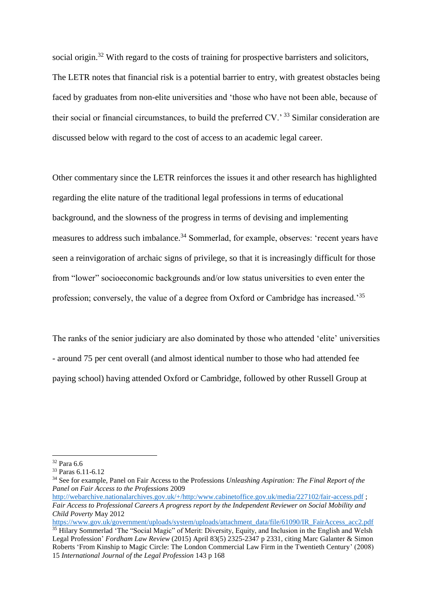social origin.<sup>32</sup> With regard to the costs of training for prospective barristers and solicitors, The LETR notes that financial risk is a potential barrier to entry, with greatest obstacles being faced by graduates from non-elite universities and 'those who have not been able, because of their social or financial circumstances, to build the preferred CV.' <sup>33</sup> Similar consideration are discussed below with regard to the cost of access to an academic legal career.

Other commentary since the LETR reinforces the issues it and other research has highlighted regarding the elite nature of the traditional legal professions in terms of educational background, and the slowness of the progress in terms of devising and implementing measures to address such imbalance.<sup>34</sup> Sommerlad, for example, observes: 'recent years have seen a reinvigoration of archaic signs of privilege, so that it is increasingly difficult for those from "lower" socioeconomic backgrounds and/or low status universities to even enter the profession; conversely, the value of a degree from Oxford or Cambridge has increased.'<sup>35</sup>

The ranks of the senior judiciary are also dominated by those who attended 'elite' universities - around 75 per cent overall (and almost identical number to those who had attended fee paying school) having attended Oxford or Cambridge, followed by other Russell Group at

<sup>32</sup> Para 6.6

<sup>33</sup> Paras 6.11-6.12

<sup>34</sup> See for example, Panel on Fair Access to the Professions *Unleashing Aspiration: The Final Report of the Panel on Fair Access to the Professions* 2009

<http://webarchive.nationalarchives.gov.uk/+/http:/www.cabinetoffice.gov.uk/media/227102/fair-access.pdf>; *Fair Access to Professional Careers A progress report by the Independent Reviewer on Social Mobility and Child Poverty* May 2012

[https://www.gov.uk/government/uploads/system/uploads/attachment\\_data/file/61090/IR\\_FairAccess\\_acc2.pdf](https://www.gov.uk/government/uploads/system/uploads/attachment_data/file/61090/IR_FairAccess_acc2.pdf) <sup>35</sup> Hilary Sommerlad 'The "Social Magic" of Merit: Diversity, Equity, and Inclusion in the English and Welsh [Legal Profession'](http://fordhamlawreview.org/articles/the-social-magic-of-merit-diversity-equity-and-inclusion-in-the-english-and-welsh-legal-profession) *Fordham Law Review* (2015) [April](http://fordhamlawreview.org/issues/137) 83(5) 2325-2347 p 2331, citing Marc Galanter & Simon Roberts 'From Kinship to Magic Circle: The London Commercial Law Firm in the Twentieth Century' (2008) 15 *International Journal of the Legal Profession* 143 p 168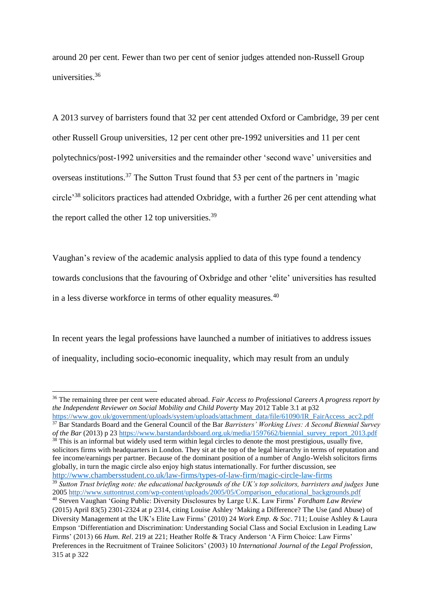around 20 per cent. Fewer than two per cent of senior judges attended non-Russell Group universities $36$ 

A 2013 survey of barristers found that 32 per cent attended Oxford or Cambridge, 39 per cent other Russell Group universities, 12 per cent other pre-1992 universities and 11 per cent polytechnics/post-1992 universities and the remainder other 'second wave' universities and overseas institutions.<sup>37</sup> The Sutton Trust found that 53 per cent of the partners in 'magic circle'<sup>38</sup> solicitors practices had attended Oxbridge, with a further 26 per cent attending what the report called the other 12 top universities.<sup>39</sup>

Vaughan's review of the academic analysis applied to data of this type found a tendency towards conclusions that the favouring of Oxbridge and other 'elite' universities has resulted in a less diverse workforce in terms of other equality measures.<sup>40</sup>

In recent years the legal professions have launched a number of initiatives to address issues of inequality, including socio-economic inequality, which may result from an unduly

[https://www.gov.uk/government/uploads/system/uploads/attachment\\_data/file/61090/IR\\_FairAccess\\_acc2.pdf](https://www.gov.uk/government/uploads/system/uploads/attachment_data/file/61090/IR_FairAccess_acc2.pdf) <sup>37</sup> Bar Standards Board and the General Council of the Bar *Barristers' Working Lives: A Second Biennial Survey of the Bar* (2013) p 2[3 https://www.barstandardsboard.org.uk/media/1597662/biennial\\_survey\\_report\\_2013.pdf](https://www.barstandardsboard.org.uk/media/1597662/biennial_survey_report_2013.pdf)  $38$  This is an informal but widely used term within legal circles to denote the most prestigious, usually five, solicitors firms with headquarters in London. They sit at the top of the legal hierarchy in terms of reputation and fee income/earnings per partner. Because of the dominant position of a number of Anglo-Welsh solicitors firms globally, in turn the magic circle also enjoy high status internationally. For further discussion, see <http://www.chambersstudent.co.uk/law-firms/types-of-law-firm/magic-circle-law-firms>

<sup>36</sup> The remaining three per cent were educated abroad. *Fair Access to Professional Careers A progress report by the Independent Reviewer on Social Mobility and Child Poverty* May 2012 Table 3.1 at p32

<sup>39</sup> *Sutton Trust briefing note: the educational backgrounds of the UK's top solicitors, barristers and judges* June 2005 [http://www.suttontrust.com/wp-content/uploads/2005/05/Comparison\\_educational\\_backgrounds.pdf](http://www.suttontrust.com/wp-content/uploads/2005/05/Comparison_educational_backgrounds.pdf)

<sup>40</sup> Steven Vaughan 'Going Public: Diversity Disclosures by Large U.K. Law Firms' *Fordham Law Review* (2015) [April](http://fordhamlawreview.org/issues/137) 83(5) 2301-2324 at p 2314, citing Louise Ashley 'Making a Difference? The Use (and Abuse) of Diversity Management at the UK's Elite Law Firms' (2010) 24 *Work Emp. & Soc*. 711; Louise Ashley & Laura Empson 'Differentiation and Discrimination: Understanding Social Class and Social Exclusion in Leading Law Firms' (2013) 66 *Hum. Rel*. 219 at 221; Heather Rolfe & Tracy Anderson 'A Firm Choice: Law Firms' Preferences in the Recruitment of Trainee Solicitors' (2003) 10 *International Journal of the Legal Profession*, 315 at p 322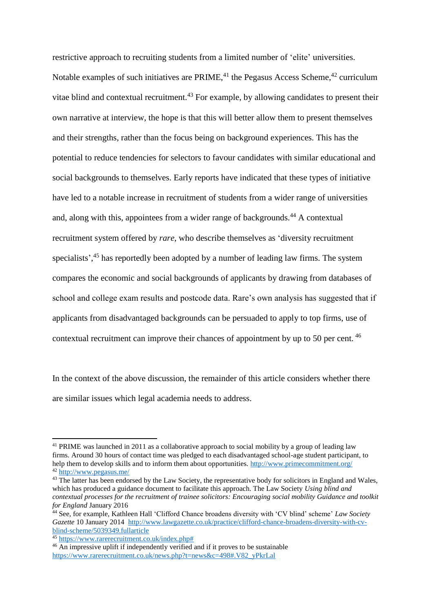restrictive approach to recruiting students from a limited number of 'elite' universities. Notable examples of such initiatives are PRIME,  $41$  the Pegasus Access Scheme,  $42$  curriculum vitae blind and contextual recruitment.<sup>43</sup> For example, by allowing candidates to present their own narrative at interview, the hope is that this will better allow them to present themselves and their strengths, rather than the focus being on background experiences. This has the potential to reduce tendencies for selectors to favour candidates with similar educational and social backgrounds to themselves. Early reports have indicated that these types of initiative have led to a notable increase in recruitment of students from a wider range of universities and, along with this, appointees from a wider range of backgrounds.<sup>44</sup> A contextual recruitment system offered by *rare*, who describe themselves as 'diversity recruitment specialists',<sup>45</sup> has reportedly been adopted by a number of leading law firms. The system compares the economic and social backgrounds of applicants by drawing from databases of school and college exam results and postcode data. Rare's own analysis has suggested that if applicants from disadvantaged backgrounds can be persuaded to apply to top firms, use of contextual recruitment can improve their chances of appointment by up to 50 per cent. <sup>46</sup>

In the context of the above discussion, the remainder of this article considers whether there are similar issues which legal academia needs to address.

<sup>&</sup>lt;sup>41</sup> PRIME was [launched](http://www.thelawyer.com/magic-circle-moots-joint-social-mobility-strategy/) in 2011 as a collaborative approach to social mobility by a group of leading law firms. Around 30 hours of contact time was pledged to each disadvantaged school-age student participant, to help them to develop skills and to inform them about opportunities.<http://www.primecommitment.org/> <sup>42</sup> <http://www.pegasus.me/>

<sup>&</sup>lt;sup>43</sup> The latter has been endorsed by the Law Society, the representative body for solicitors in England and Wales, which has produced a guidance document to facilitate this approach. The Law Society *Using blind and contextual processes for the recruitment of trainee solicitors: Encouraging social mobility Guidance and toolkit for England* January 2016

<sup>44</sup> See, for example, [Kathleen Hall](http://www.lawgazette.co.uk/kathleen-hall/4858.bio) 'Clifford Chance broadens diversity with 'CV blind' scheme' *Law Society Gazette* 10 January 2014 [http://www.lawgazette.co.uk/practice/clifford-chance-broadens-diversity-with-cv](http://www.lawgazette.co.uk/practice/clifford-chance-broadens-diversity-with-cv-blind-scheme/5039349.fullarticle)[blind-scheme/5039349.fullarticle](http://www.lawgazette.co.uk/practice/clifford-chance-broadens-diversity-with-cv-blind-scheme/5039349.fullarticle)

<sup>45</sup> [https://www.rarerecruitment.co.uk/index.php#](https://www.rarerecruitment.co.uk/index.php)

<sup>&</sup>lt;sup>46</sup> An impressive uplift if independently verified and if it proves to be sustainable [https://www.rarerecruitment.co.uk/news.php?t=news&c=498#.V82\\_yPkrLal](https://www.rarerecruitment.co.uk/news.php?t=news&c=498#.V82_yPkrLal)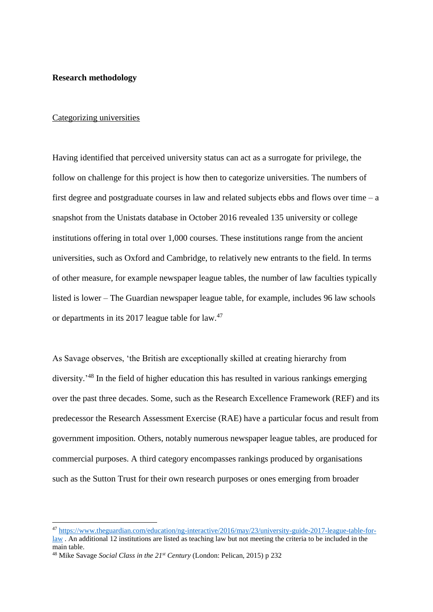# **Research methodology**

# Categorizing universities

Having identified that perceived university status can act as a surrogate for privilege, the follow on challenge for this project is how then to categorize universities. The numbers of first degree and postgraduate courses in law and related subjects ebbs and flows over time  $-a$ snapshot from the Unistats database in October 2016 revealed 135 university or college institutions offering in total over 1,000 courses. These institutions range from the ancient universities, such as Oxford and Cambridge, to relatively new entrants to the field. In terms of other measure, for example newspaper league tables, the number of law faculties typically listed is lower – The Guardian newspaper league table, for example, includes 96 law schools or departments in its 2017 league table for law.<sup>47</sup>

As Savage observes, 'the British are exceptionally skilled at creating hierarchy from diversity.<sup>148</sup> In the field of higher education this has resulted in various rankings emerging over the past three decades. Some, such as the Research Excellence Framework (REF) and its predecessor the Research Assessment Exercise (RAE) have a particular focus and result from government imposition. Others, notably numerous newspaper league tables, are produced for commercial purposes. A third category encompasses rankings produced by organisations such as the Sutton Trust for their own research purposes or ones emerging from broader

<sup>47</sup> [https://www.theguardian.com/education/ng-interactive/2016/may/23/university-guide-2017-league-table-for](https://www.theguardian.com/education/ng-interactive/2016/may/23/university-guide-2017-league-table-for-law)[law](https://www.theguardian.com/education/ng-interactive/2016/may/23/university-guide-2017-league-table-for-law) . An additional 12 institutions are listed as teaching law but not meeting the criteria to be included in the main table.

<sup>48</sup> Mike Savage *Social Class in the 21st Century* (London: Pelican, 2015) p 232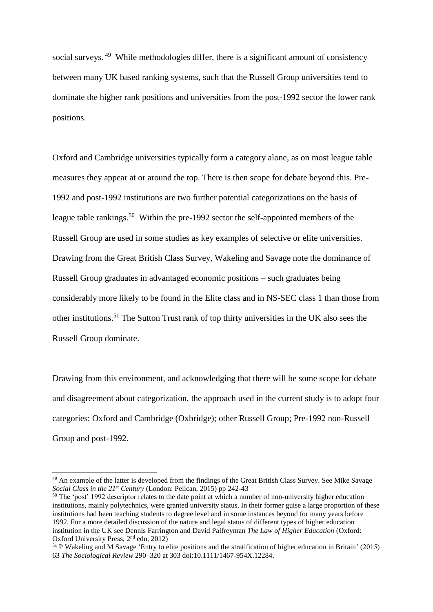social surveys.<sup>49</sup> While methodologies differ, there is a significant amount of consistency between many UK based ranking systems, such that the Russell Group universities tend to dominate the higher rank positions and universities from the post-1992 sector the lower rank positions.

Oxford and Cambridge universities typically form a category alone, as on most league table measures they appear at or around the top. There is then scope for debate beyond this. Pre-1992 and post-1992 institutions are two further potential categorizations on the basis of league table rankings.<sup>50</sup> Within the pre-1992 sector the self-appointed members of the Russell Group are used in some studies as key examples of selective or elite universities. Drawing from the Great British Class Survey, Wakeling and Savage note the dominance of Russell Group graduates in advantaged economic positions – such graduates being considerably more likely to be found in the Elite class and in NS-SEC class 1 than those from other institutions.<sup>51</sup> The Sutton Trust rank of top thirty universities in the UK also sees the Russell Group dominate.

Drawing from this environment, and acknowledging that there will be some scope for debate and disagreement about categorization, the approach used in the current study is to adopt four categories: Oxford and Cambridge (Oxbridge); other Russell Group; Pre-1992 non-Russell Group and post-1992.

<sup>50</sup> The 'post' 1992 descriptor relates to the date point at which a number of non-university higher education institutions, mainly polytechnics, were granted university status. In their former guise a large proportion of these institutions had been teaching students to degree level and in some instances beyond for many years before 1992. For a more detailed discussion of the nature and legal status of different types of higher education institution in the UK see Dennis Farrington and David Palfreyman *The Law of Higher Education* (Oxford: Oxford University Press, 2<sup>nd</sup> edn, 2012)

<sup>&</sup>lt;sup>49</sup> An example of the latter is developed from the findings of the Great British Class Survey. See Mike Savage *Social Class in the 21st Century* (London: Pelican, 2015) pp 242-43

<sup>51</sup> P Wakeling and M Savage 'Entry to elite positions and the stratification of higher education in Britain' (2015) 63 *The Sociological Review* 290–320 at 303 doi:10.1111/1467-954X.12284.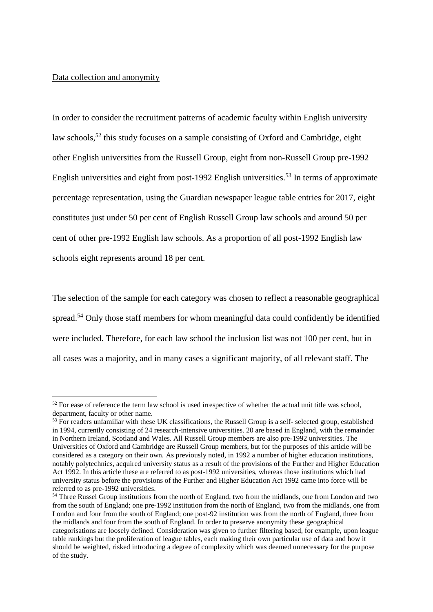# Data collection and anonymity

In order to consider the recruitment patterns of academic faculty within English university law schools,<sup>52</sup> this study focuses on a sample consisting of Oxford and Cambridge, eight other English universities from the Russell Group, eight from non-Russell Group pre-1992 English universities and eight from post-1992 English universities.<sup>53</sup> In terms of approximate percentage representation, using the Guardian newspaper league table entries for 2017, eight constitutes just under 50 per cent of English Russell Group law schools and around 50 per cent of other pre-1992 English law schools. As a proportion of all post-1992 English law schools eight represents around 18 per cent.

The selection of the sample for each category was chosen to reflect a reasonable geographical spread.<sup>54</sup> Only those staff members for whom meaningful data could confidently be identified were included. Therefore, for each law school the inclusion list was not 100 per cent, but in all cases was a majority, and in many cases a significant majority, of all relevant staff. The

<sup>&</sup>lt;sup>52</sup> For ease of reference the term law school is used irrespective of whether the actual unit title was school, department, faculty or other name.

<sup>&</sup>lt;sup>53</sup> For readers unfamiliar with these UK classifications, the Russell Group is a self- selected group, established in 1994, currently consisting of 24 research-intensive universities. 20 are based in England, with the remainder in Northern Ireland, Scotland and Wales. All Russell Group members are also pre-1992 universities. The Universities of Oxford and Cambridge are Russell Group members, but for the purposes of this article will be considered as a category on their own. As previously noted, in 1992 a number of higher education institutions, notably polytechnics, acquired university status as a result of the provisions of the Further and Higher Education Act 1992. In this article these are referred to as post-1992 universities, whereas those institutions which had university status before the provisions of the Further and Higher Education Act 1992 came into force will be referred to as pre-1992 universities.

<sup>&</sup>lt;sup>54</sup> Three Russel Group institutions from the north of England, two from the midlands, one from London and two from the south of England; one pre-1992 institution from the north of England, two from the midlands, one from London and four from the south of England; one post-92 institution was from the north of England, three from the midlands and four from the south of England. In order to preserve anonymity these geographical categorisations are loosely defined. Consideration was given to further filtering based, for example, upon league table rankings but the proliferation of league tables, each making their own particular use of data and how it should be weighted, risked introducing a degree of complexity which was deemed unnecessary for the purpose of the study.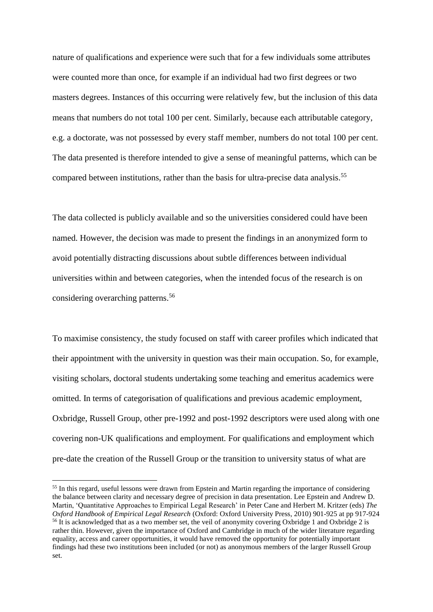nature of qualifications and experience were such that for a few individuals some attributes were counted more than once, for example if an individual had two first degrees or two masters degrees. Instances of this occurring were relatively few, but the inclusion of this data means that numbers do not total 100 per cent. Similarly, because each attributable category, e.g. a doctorate, was not possessed by every staff member, numbers do not total 100 per cent. The data presented is therefore intended to give a sense of meaningful patterns, which can be compared between institutions, rather than the basis for ultra-precise data analysis.<sup>55</sup>

The data collected is publicly available and so the universities considered could have been named. However, the decision was made to present the findings in an anonymized form to avoid potentially distracting discussions about subtle differences between individual universities within and between categories, when the intended focus of the research is on considering overarching patterns.<sup>56</sup>

To maximise consistency, the study focused on staff with career profiles which indicated that their appointment with the university in question was their main occupation. So, for example, visiting scholars, doctoral students undertaking some teaching and emeritus academics were omitted. In terms of categorisation of qualifications and previous academic employment, Oxbridge, Russell Group, other pre-1992 and post-1992 descriptors were used along with one covering non-UK qualifications and employment. For qualifications and employment which pre-date the creation of the Russell Group or the transition to university status of what are

<sup>&</sup>lt;sup>55</sup> In this regard, useful lessons were drawn from Epstein and Martin regarding the importance of considering the balance between clarity and necessary degree of precision in data presentation. Lee Epstein and Andrew D. Martin, 'Quantitative Approaches to Empirical Legal Research' in Peter Cane and Herbert M. Kritzer (eds) *The Oxford Handbook of Empirical Legal Research* (Oxford: Oxford University Press, 2010) 901-925 at pp 917-924 <sup>56</sup> It is acknowledged that as a two member set, the veil of anonymity covering Oxbridge 1 and Oxbridge 2 is rather thin. However, given the importance of Oxford and Cambridge in much of the wider literature regarding equality, access and career opportunities, it would have removed the opportunity for potentially important findings had these two institutions been included (or not) as anonymous members of the larger Russell Group set.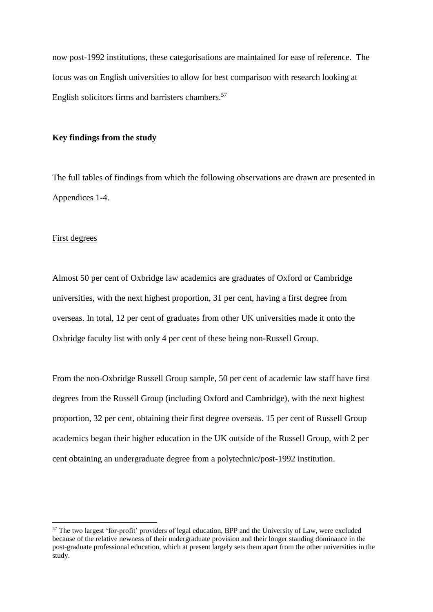now post-1992 institutions, these categorisations are maintained for ease of reference. The focus was on English universities to allow for best comparison with research looking at English solicitors firms and barristers chambers.<sup>57</sup>

# **Key findings from the study**

The full tables of findings from which the following observations are drawn are presented in Appendices 1-4.

#### First degrees

Almost 50 per cent of Oxbridge law academics are graduates of Oxford or Cambridge universities, with the next highest proportion, 31 per cent, having a first degree from overseas. In total, 12 per cent of graduates from other UK universities made it onto the Oxbridge faculty list with only 4 per cent of these being non-Russell Group.

From the non-Oxbridge Russell Group sample, 50 per cent of academic law staff have first degrees from the Russell Group (including Oxford and Cambridge), with the next highest proportion, 32 per cent, obtaining their first degree overseas. 15 per cent of Russell Group academics began their higher education in the UK outside of the Russell Group, with 2 per cent obtaining an undergraduate degree from a polytechnic/post-1992 institution.

<sup>57</sup> The two largest 'for-profit' providers of legal education, BPP and the University of Law, were excluded because of the relative newness of their undergraduate provision and their longer standing dominance in the post-graduate professional education, which at present largely sets them apart from the other universities in the study.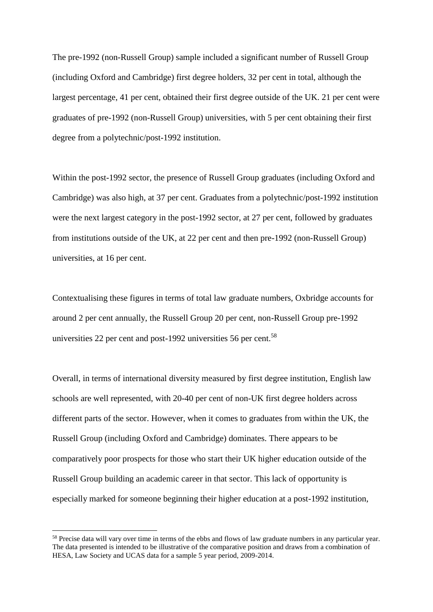The pre-1992 (non-Russell Group) sample included a significant number of Russell Group (including Oxford and Cambridge) first degree holders, 32 per cent in total, although the largest percentage, 41 per cent, obtained their first degree outside of the UK. 21 per cent were graduates of pre-1992 (non-Russell Group) universities, with 5 per cent obtaining their first degree from a polytechnic/post-1992 institution.

Within the post-1992 sector, the presence of Russell Group graduates (including Oxford and Cambridge) was also high, at 37 per cent. Graduates from a polytechnic/post-1992 institution were the next largest category in the post-1992 sector, at 27 per cent, followed by graduates from institutions outside of the UK, at 22 per cent and then pre-1992 (non-Russell Group) universities, at 16 per cent.

Contextualising these figures in terms of total law graduate numbers, Oxbridge accounts for around 2 per cent annually, the Russell Group 20 per cent, non-Russell Group pre-1992 universities 22 per cent and post-1992 universities 56 per cent.<sup>58</sup>

Overall, in terms of international diversity measured by first degree institution, English law schools are well represented, with 20-40 per cent of non-UK first degree holders across different parts of the sector. However, when it comes to graduates from within the UK, the Russell Group (including Oxford and Cambridge) dominates. There appears to be comparatively poor prospects for those who start their UK higher education outside of the Russell Group building an academic career in that sector. This lack of opportunity is especially marked for someone beginning their higher education at a post-1992 institution,

<sup>&</sup>lt;sup>58</sup> Precise data will vary over time in terms of the ebbs and flows of law graduate numbers in any particular year. The data presented is intended to be illustrative of the comparative position and draws from a combination of HESA, Law Society and UCAS data for a sample 5 year period, 2009-2014.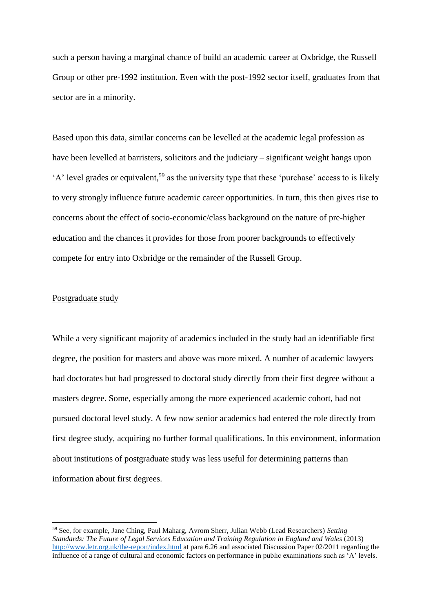such a person having a marginal chance of build an academic career at Oxbridge, the Russell Group or other pre-1992 institution. Even with the post-1992 sector itself, graduates from that sector are in a minority.

Based upon this data, similar concerns can be levelled at the academic legal profession as have been levelled at barristers, solicitors and the judiciary – significant weight hangs upon 'A' level grades or equivalent,<sup>59</sup> as the university type that these 'purchase' access to is likely to very strongly influence future academic career opportunities. In turn, this then gives rise to concerns about the effect of socio-economic/class background on the nature of pre-higher education and the chances it provides for those from poorer backgrounds to effectively compete for entry into Oxbridge or the remainder of the Russell Group.

# Postgraduate study

While a very significant majority of academics included in the study had an identifiable first degree, the position for masters and above was more mixed. A number of academic lawyers had doctorates but had progressed to doctoral study directly from their first degree without a masters degree. Some, especially among the more experienced academic cohort, had not pursued doctoral level study. A few now senior academics had entered the role directly from first degree study, acquiring no further formal qualifications. In this environment, information about institutions of postgraduate study was less useful for determining patterns than information about first degrees.

<sup>59</sup> See, for example, Jane Ching, Paul Maharg, Avrom Sherr, Julian Webb (Lead Researchers) *Setting Standards: The Future of Legal Services Education and Training Regulation in England and Wales* (2013) <http://www.letr.org.uk/the-report/index.html> at para 6.26 and associated Discussion Paper 02/2011 regarding the influence of a range of cultural and economic factors on performance in public examinations such as 'A' levels.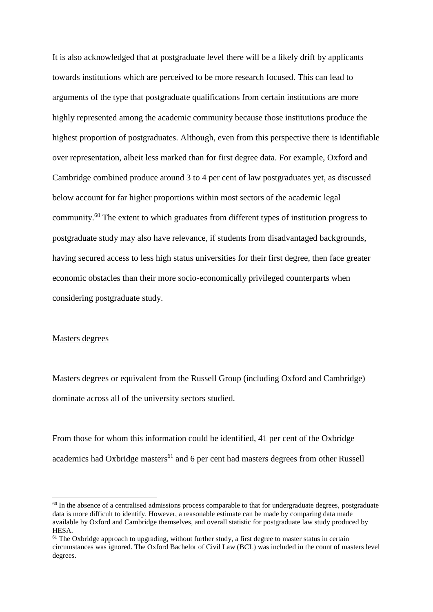It is also acknowledged that at postgraduate level there will be a likely drift by applicants towards institutions which are perceived to be more research focused. This can lead to arguments of the type that postgraduate qualifications from certain institutions are more highly represented among the academic community because those institutions produce the highest proportion of postgraduates. Although, even from this perspective there is identifiable over representation, albeit less marked than for first degree data. For example, Oxford and Cambridge combined produce around 3 to 4 per cent of law postgraduates yet, as discussed below account for far higher proportions within most sectors of the academic legal community.<sup>60</sup> The extent to which graduates from different types of institution progress to postgraduate study may also have relevance, if students from disadvantaged backgrounds, having secured access to less high status universities for their first degree, then face greater economic obstacles than their more socio-economically privileged counterparts when considering postgraduate study.

# Masters degrees

Masters degrees or equivalent from the Russell Group (including Oxford and Cambridge) dominate across all of the university sectors studied.

From those for whom this information could be identified, 41 per cent of the Oxbridge academics had Oxbridge masters<sup>61</sup> and 6 per cent had masters degrees from other Russell

<sup>&</sup>lt;sup>60</sup> In the absence of a centralised admissions process comparable to that for undergraduate degrees, postgraduate data is more difficult to identify. However, a reasonable estimate can be made by comparing data made available by Oxford and Cambridge themselves, and overall statistic for postgraduate law study produced by HESA.

 $61$  The Oxbridge approach to upgrading, without further study, a first degree to master status in certain circumstances was ignored. The Oxford Bachelor of Civil Law (BCL) was included in the count of masters level degrees.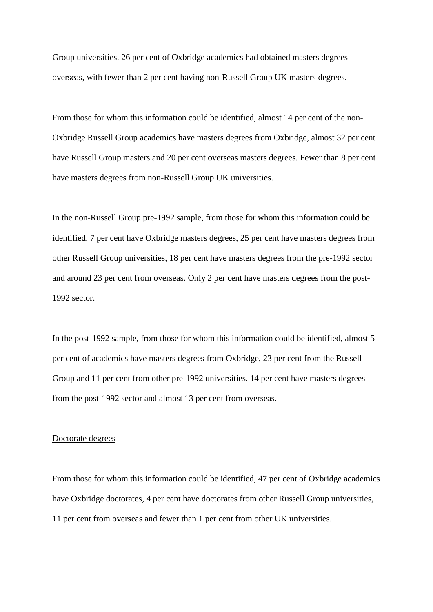Group universities. 26 per cent of Oxbridge academics had obtained masters degrees overseas, with fewer than 2 per cent having non-Russell Group UK masters degrees.

From those for whom this information could be identified, almost 14 per cent of the non-Oxbridge Russell Group academics have masters degrees from Oxbridge, almost 32 per cent have Russell Group masters and 20 per cent overseas masters degrees. Fewer than 8 per cent have masters degrees from non-Russell Group UK universities.

In the non-Russell Group pre-1992 sample, from those for whom this information could be identified, 7 per cent have Oxbridge masters degrees, 25 per cent have masters degrees from other Russell Group universities, 18 per cent have masters degrees from the pre-1992 sector and around 23 per cent from overseas. Only 2 per cent have masters degrees from the post-1992 sector.

In the post-1992 sample, from those for whom this information could be identified, almost 5 per cent of academics have masters degrees from Oxbridge, 23 per cent from the Russell Group and 11 per cent from other pre-1992 universities. 14 per cent have masters degrees from the post-1992 sector and almost 13 per cent from overseas.

# Doctorate degrees

From those for whom this information could be identified, 47 per cent of Oxbridge academics have Oxbridge doctorates, 4 per cent have doctorates from other Russell Group universities, 11 per cent from overseas and fewer than 1 per cent from other UK universities.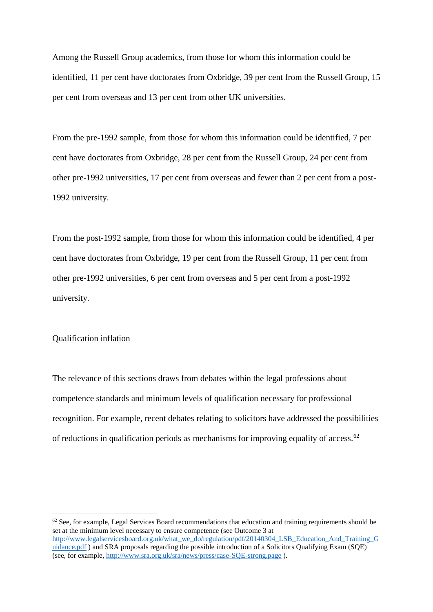Among the Russell Group academics, from those for whom this information could be identified, 11 per cent have doctorates from Oxbridge, 39 per cent from the Russell Group, 15 per cent from overseas and 13 per cent from other UK universities.

From the pre-1992 sample, from those for whom this information could be identified, 7 per cent have doctorates from Oxbridge, 28 per cent from the Russell Group, 24 per cent from other pre-1992 universities, 17 per cent from overseas and fewer than 2 per cent from a post-1992 university.

From the post-1992 sample, from those for whom this information could be identified, 4 per cent have doctorates from Oxbridge, 19 per cent from the Russell Group, 11 per cent from other pre-1992 universities, 6 per cent from overseas and 5 per cent from a post-1992 university.

# Qualification inflation

The relevance of this sections draws from debates within the legal professions about competence standards and minimum levels of qualification necessary for professional recognition. For example, recent debates relating to solicitors have addressed the possibilities of reductions in qualification periods as mechanisms for improving equality of access.<sup>62</sup>

 $62$  See, for example, Legal Services Board recommendations that education and training requirements should be set at the minimum level necessary to ensure competence (see Outcome 3 at [http://www.legalservicesboard.org.uk/what\\_we\\_do/regulation/pdf/20140304\\_LSB\\_Education\\_And\\_Training\\_G](http://www.legalservicesboard.org.uk/what_we_do/regulation/pdf/20140304_LSB_Education_And_Training_Guidance.pdf) [uidance.pdf](http://www.legalservicesboard.org.uk/what_we_do/regulation/pdf/20140304_LSB_Education_And_Training_Guidance.pdf) ) and SRA proposals regarding the possible introduction of a Solicitors Qualifying Exam (SQE) (see, for example,<http://www.sra.org.uk/sra/news/press/case-SQE-strong.page> ).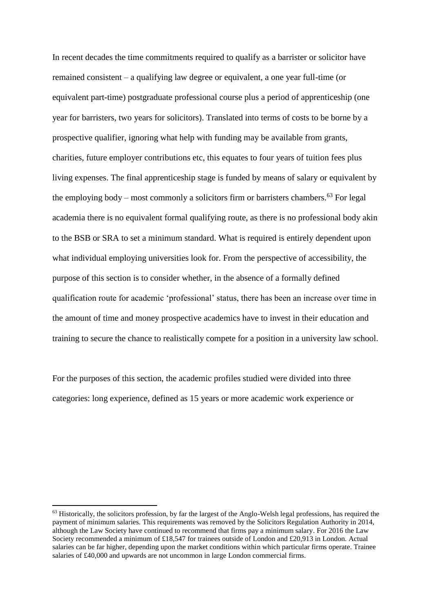In recent decades the time commitments required to qualify as a barrister or solicitor have remained consistent – a qualifying law degree or equivalent, a one year full-time (or equivalent part-time) postgraduate professional course plus a period of apprenticeship (one year for barristers, two years for solicitors). Translated into terms of costs to be borne by a prospective qualifier, ignoring what help with funding may be available from grants, charities, future employer contributions etc, this equates to four years of tuition fees plus living expenses. The final apprenticeship stage is funded by means of salary or equivalent by the employing body – most commonly a solicitors firm or barristers chambers.<sup>63</sup> For legal academia there is no equivalent formal qualifying route, as there is no professional body akin to the BSB or SRA to set a minimum standard. What is required is entirely dependent upon what individual employing universities look for. From the perspective of accessibility, the purpose of this section is to consider whether, in the absence of a formally defined qualification route for academic 'professional' status, there has been an increase over time in the amount of time and money prospective academics have to invest in their education and training to secure the chance to realistically compete for a position in a university law school.

For the purposes of this section, the academic profiles studied were divided into three categories: long experience, defined as 15 years or more academic work experience or

 $<sup>63</sup>$  Historically, the solicitors profession, by far the largest of the Anglo-Welsh legal professions, has required the</sup> payment of minimum salaries. This requirements was removed by the Solicitors Regulation Authority in 2014, although the Law Society have continued to recommend that firms pay a minimum salary. For 2016 the Law Society recommended a minimum of £18,547 for trainees outside of London and £20,913 in London. Actual salaries can be far higher, depending upon the market conditions within which particular firms operate. Trainee salaries of £40,000 and upwards are not uncommon in large London commercial firms.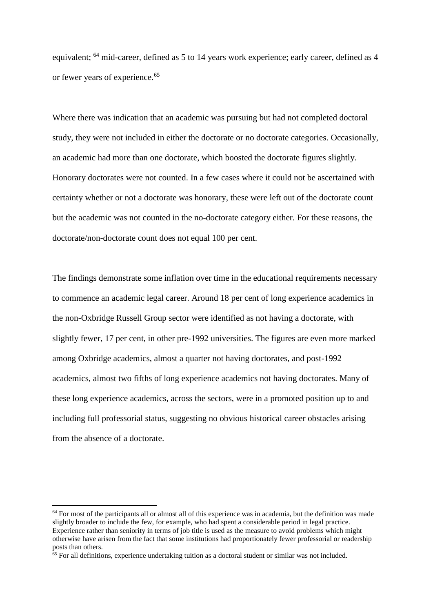equivalent; <sup>64</sup> mid-career, defined as 5 to 14 years work experience; early career, defined as 4 or fewer years of experience.<sup>65</sup>

Where there was indication that an academic was pursuing but had not completed doctoral study, they were not included in either the doctorate or no doctorate categories. Occasionally, an academic had more than one doctorate, which boosted the doctorate figures slightly. Honorary doctorates were not counted. In a few cases where it could not be ascertained with certainty whether or not a doctorate was honorary, these were left out of the doctorate count but the academic was not counted in the no-doctorate category either. For these reasons, the doctorate/non-doctorate count does not equal 100 per cent.

The findings demonstrate some inflation over time in the educational requirements necessary to commence an academic legal career. Around 18 per cent of long experience academics in the non-Oxbridge Russell Group sector were identified as not having a doctorate, with slightly fewer, 17 per cent, in other pre-1992 universities. The figures are even more marked among Oxbridge academics, almost a quarter not having doctorates, and post-1992 academics, almost two fifths of long experience academics not having doctorates. Many of these long experience academics, across the sectors, were in a promoted position up to and including full professorial status, suggesting no obvious historical career obstacles arising from the absence of a doctorate.

<sup>&</sup>lt;sup>64</sup> For most of the participants all or almost all of this experience was in academia, but the definition was made slightly broader to include the few, for example, who had spent a considerable period in legal practice. Experience rather than seniority in terms of job title is used as the measure to avoid problems which might otherwise have arisen from the fact that some institutions had proportionately fewer professorial or readership posts than others.

 $65$  For all definitions, experience undertaking tuition as a doctoral student or similar was not included.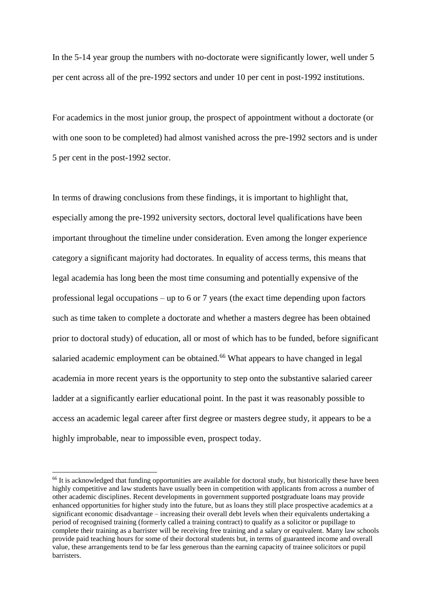In the 5-14 year group the numbers with no-doctorate were significantly lower, well under 5 per cent across all of the pre-1992 sectors and under 10 per cent in post-1992 institutions.

For academics in the most junior group, the prospect of appointment without a doctorate (or with one soon to be completed) had almost vanished across the pre-1992 sectors and is under 5 per cent in the post-1992 sector.

In terms of drawing conclusions from these findings, it is important to highlight that, especially among the pre-1992 university sectors, doctoral level qualifications have been important throughout the timeline under consideration. Even among the longer experience category a significant majority had doctorates. In equality of access terms, this means that legal academia has long been the most time consuming and potentially expensive of the professional legal occupations – up to 6 or 7 years (the exact time depending upon factors such as time taken to complete a doctorate and whether a masters degree has been obtained prior to doctoral study) of education, all or most of which has to be funded, before significant salaried academic employment can be obtained.<sup>66</sup> What appears to have changed in legal academia in more recent years is the opportunity to step onto the substantive salaried career ladder at a significantly earlier educational point. In the past it was reasonably possible to access an academic legal career after first degree or masters degree study, it appears to be a highly improbable, near to impossible even, prospect today.

<sup>&</sup>lt;sup>66</sup> It is acknowledged that funding opportunities are available for doctoral study, but historically these have been highly competitive and law students have usually been in competition with applicants from across a number of other academic disciplines. Recent developments in government supported postgraduate loans may provide enhanced opportunities for higher study into the future, but as loans they still place prospective academics at a significant economic disadvantage – increasing their overall debt levels when their equivalents undertaking a period of recognised training (formerly called a training contract) to qualify as a solicitor or pupillage to complete their training as a barrister will be receiving free training and a salary or equivalent. Many law schools provide paid teaching hours for some of their doctoral students but, in terms of guaranteed income and overall value, these arrangements tend to be far less generous than the earning capacity of trainee solicitors or pupil barristers.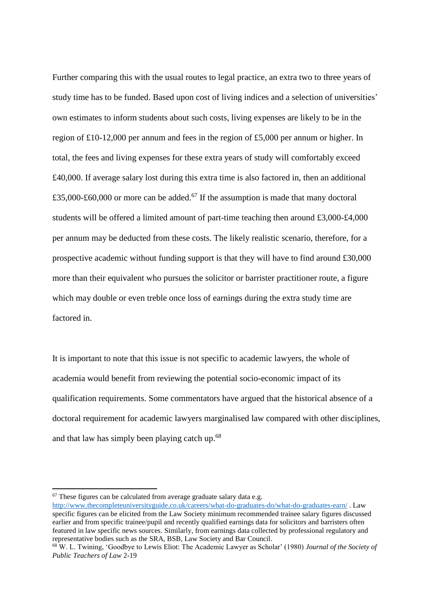Further comparing this with the usual routes to legal practice, an extra two to three years of study time has to be funded. Based upon cost of living indices and a selection of universities' own estimates to inform students about such costs, living expenses are likely to be in the region of £10-12,000 per annum and fees in the region of £5,000 per annum or higher. In total, the fees and living expenses for these extra years of study will comfortably exceed £40,000. If average salary lost during this extra time is also factored in, then an additional £35,000-£60,000 or more can be added.<sup>67</sup> If the assumption is made that many doctoral students will be offered a limited amount of part-time teaching then around £3,000-£4,000 per annum may be deducted from these costs. The likely realistic scenario, therefore, for a prospective academic without funding support is that they will have to find around £30,000 more than their equivalent who pursues the solicitor or barrister practitioner route, a figure which may double or even treble once loss of earnings during the extra study time are factored in.

It is important to note that this issue is not specific to academic lawyers, the whole of academia would benefit from reviewing the potential socio-economic impact of its qualification requirements. Some commentators have argued that the historical absence of a doctoral requirement for academic lawyers marginalised law compared with other disciplines, and that law has simply been playing catch up.<sup>68</sup>

 $67$  These figures can be calculated from average graduate salary data e.g.

<http://www.thecompleteuniversityguide.co.uk/careers/what-do-graduates-do/what-do-graduates-earn/> . Law specific figures can be elicited from the Law Society minimum recommended trainee salary figures discussed earlier and from specific trainee/pupil and recently qualified earnings data for solicitors and barristers often featured in law specific news sources. Similarly, from earnings data collected by professional regulatory and representative bodies such as the SRA, BSB, Law Society and Bar Council.

<sup>68</sup> W. L. Twining, 'Goodbye to Lewis Eliot: The Academic Lawyer as Scholar' (1980) *Journal of the Society of Public Teachers of Law* 2-19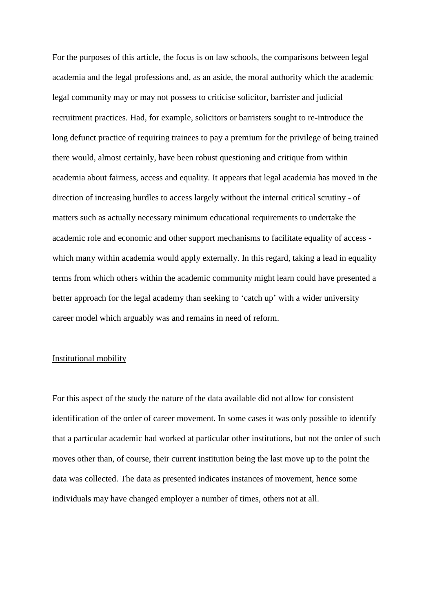For the purposes of this article, the focus is on law schools, the comparisons between legal academia and the legal professions and, as an aside, the moral authority which the academic legal community may or may not possess to criticise solicitor, barrister and judicial recruitment practices. Had, for example, solicitors or barristers sought to re-introduce the long defunct practice of requiring trainees to pay a premium for the privilege of being trained there would, almost certainly, have been robust questioning and critique from within academia about fairness, access and equality. It appears that legal academia has moved in the direction of increasing hurdles to access largely without the internal critical scrutiny - of matters such as actually necessary minimum educational requirements to undertake the academic role and economic and other support mechanisms to facilitate equality of access which many within academia would apply externally. In this regard, taking a lead in equality terms from which others within the academic community might learn could have presented a better approach for the legal academy than seeking to 'catch up' with a wider university career model which arguably was and remains in need of reform.

#### Institutional mobility

For this aspect of the study the nature of the data available did not allow for consistent identification of the order of career movement. In some cases it was only possible to identify that a particular academic had worked at particular other institutions, but not the order of such moves other than, of course, their current institution being the last move up to the point the data was collected. The data as presented indicates instances of movement, hence some individuals may have changed employer a number of times, others not at all.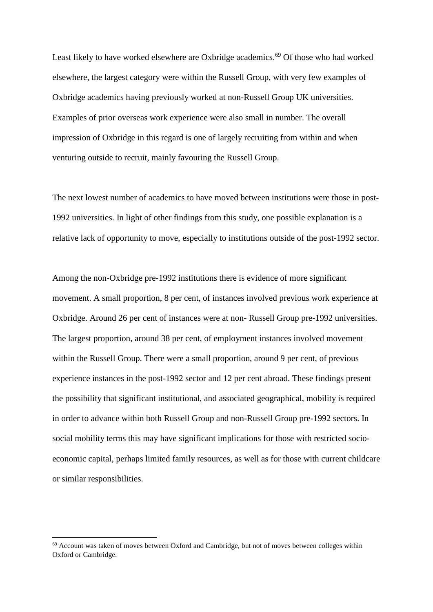Least likely to have worked elsewhere are Oxbridge academics.<sup>69</sup> Of those who had worked elsewhere, the largest category were within the Russell Group, with very few examples of Oxbridge academics having previously worked at non-Russell Group UK universities. Examples of prior overseas work experience were also small in number. The overall impression of Oxbridge in this regard is one of largely recruiting from within and when venturing outside to recruit, mainly favouring the Russell Group.

The next lowest number of academics to have moved between institutions were those in post-1992 universities. In light of other findings from this study, one possible explanation is a relative lack of opportunity to move, especially to institutions outside of the post-1992 sector.

Among the non-Oxbridge pre-1992 institutions there is evidence of more significant movement. A small proportion, 8 per cent, of instances involved previous work experience at Oxbridge. Around 26 per cent of instances were at non- Russell Group pre-1992 universities. The largest proportion, around 38 per cent, of employment instances involved movement within the Russell Group. There were a small proportion, around 9 per cent, of previous experience instances in the post-1992 sector and 12 per cent abroad. These findings present the possibility that significant institutional, and associated geographical, mobility is required in order to advance within both Russell Group and non-Russell Group pre-1992 sectors. In social mobility terms this may have significant implications for those with restricted socioeconomic capital, perhaps limited family resources, as well as for those with current childcare or similar responsibilities.

 $69$  Account was taken of moves between Oxford and Cambridge, but not of moves between colleges within Oxford or Cambridge.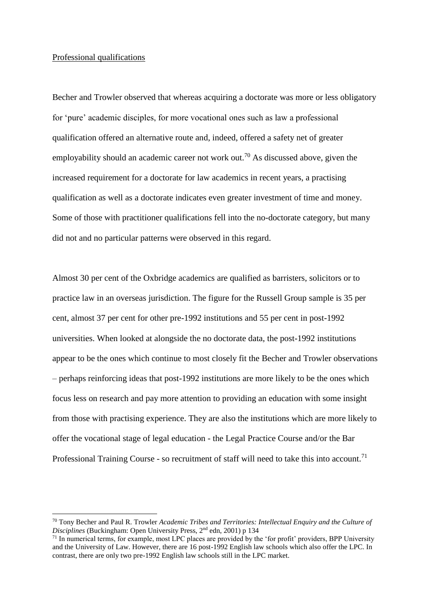# Professional qualifications

Becher and Trowler observed that whereas acquiring a doctorate was more or less obligatory for 'pure' academic disciples, for more vocational ones such as law a professional qualification offered an alternative route and, indeed, offered a safety net of greater employability should an academic career not work out.<sup>70</sup> As discussed above, given the increased requirement for a doctorate for law academics in recent years, a practising qualification as well as a doctorate indicates even greater investment of time and money. Some of those with practitioner qualifications fell into the no-doctorate category, but many did not and no particular patterns were observed in this regard.

Almost 30 per cent of the Oxbridge academics are qualified as barristers, solicitors or to practice law in an overseas jurisdiction. The figure for the Russell Group sample is 35 per cent, almost 37 per cent for other pre-1992 institutions and 55 per cent in post-1992 universities. When looked at alongside the no doctorate data, the post-1992 institutions appear to be the ones which continue to most closely fit the Becher and Trowler observations – perhaps reinforcing ideas that post-1992 institutions are more likely to be the ones which focus less on research and pay more attention to providing an education with some insight from those with practising experience. They are also the institutions which are more likely to offer the vocational stage of legal education - the Legal Practice Course and/or the Bar Professional Training Course - so recruitment of staff will need to take this into account.<sup>71</sup>

<sup>70</sup> Tony Becher and Paul R. Trowler *Academic Tribes and Territories: Intellectual Enquiry and the Culture of*  Disciplines (Buckingham: Open University Press, 2<sup>nd</sup> edn, 2001) p 134

<sup>&</sup>lt;sup>71</sup> In numerical terms, for example, most LPC places are provided by the 'for profit' providers, BPP University and the University of Law. However, there are 16 post-1992 English law schools which also offer the LPC. In contrast, there are only two pre-1992 English law schools still in the LPC market.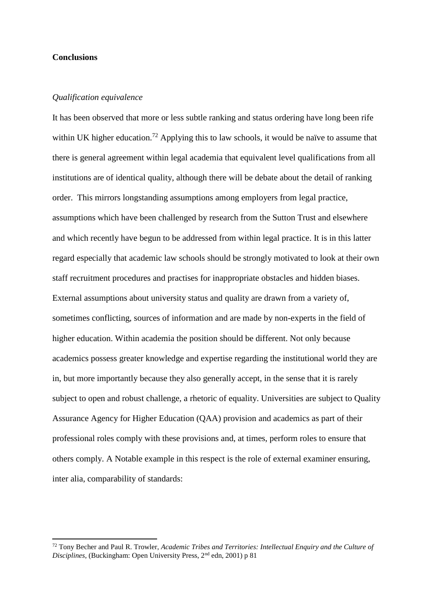# **Conclusions**

#### *Qualification equivalence*

It has been observed that more or less subtle ranking and status ordering have long been rife within UK higher education.<sup>72</sup> Applying this to law schools, it would be naïve to assume that there is general agreement within legal academia that equivalent level qualifications from all institutions are of identical quality, although there will be debate about the detail of ranking order. This mirrors longstanding assumptions among employers from legal practice, assumptions which have been challenged by research from the Sutton Trust and elsewhere and which recently have begun to be addressed from within legal practice. It is in this latter regard especially that academic law schools should be strongly motivated to look at their own staff recruitment procedures and practises for inappropriate obstacles and hidden biases. External assumptions about university status and quality are drawn from a variety of, sometimes conflicting, sources of information and are made by non-experts in the field of higher education. Within academia the position should be different. Not only because academics possess greater knowledge and expertise regarding the institutional world they are in, but more importantly because they also generally accept, in the sense that it is rarely subject to open and robust challenge, a rhetoric of equality. Universities are subject to Quality Assurance Agency for Higher Education (QAA) provision and academics as part of their professional roles comply with these provisions and, at times, perform roles to ensure that others comply. A Notable example in this respect is the role of external examiner ensuring, inter alia, comparability of standards:

<sup>72</sup> Tony Becher and Paul R. Trowler, *Academic Tribes and Territories: Intellectual Enquiry and the Culture of Disciplines*, (Buckingham: Open University Press, 2<sup>nd</sup> edn, 2001) p 81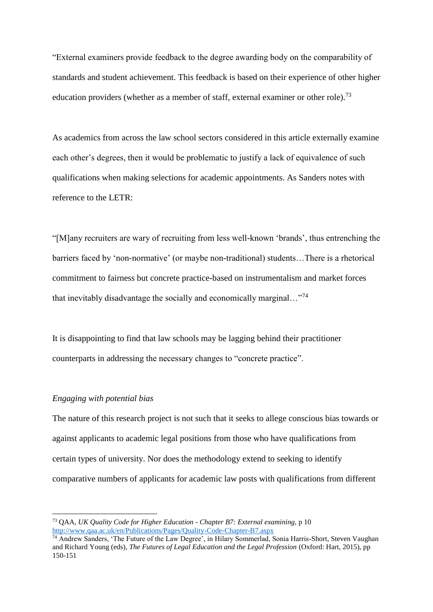"External examiners provide feedback to the degree awarding body on the comparability of standards and student achievement. This feedback is based on their experience of other higher education providers (whether as a member of staff, external examiner or other role).<sup>73</sup>

As academics from across the law school sectors considered in this article externally examine each other's degrees, then it would be problematic to justify a lack of equivalence of such qualifications when making selections for academic appointments. As Sanders notes with reference to the LETR:

"[M]any recruiters are wary of recruiting from less well-known 'brands', thus entrenching the barriers faced by 'non-normative' (or maybe non-traditional) students…There is a rhetorical commitment to fairness but concrete practice-based on instrumentalism and market forces that inevitably disadvantage the socially and economically marginal…"<sup>74</sup>

It is disappointing to find that law schools may be lagging behind their practitioner counterparts in addressing the necessary changes to "concrete practice".

# *Engaging with potential bias*

The nature of this research project is not such that it seeks to allege conscious bias towards or against applicants to academic legal positions from those who have qualifications from certain types of university. Nor does the methodology extend to seeking to identify comparative numbers of applicants for academic law posts with qualifications from different

<sup>73</sup> QAA, *UK Quality Code for Higher Education - Chapter B7: External examining,* p 10 <http://www.qaa.ac.uk/en/Publications/Pages/Quality-Code-Chapter-B7.aspx>

<sup>&</sup>lt;sup>74</sup> Andrew Sanders, 'The Future of the Law Degree', in Hilary Sommerlad, Sonia Harris-Short, Steven Vaughan and Richard Young (eds), *The Futures of Legal Education and the Legal Profession* (Oxford: Hart, 2015), pp 150-151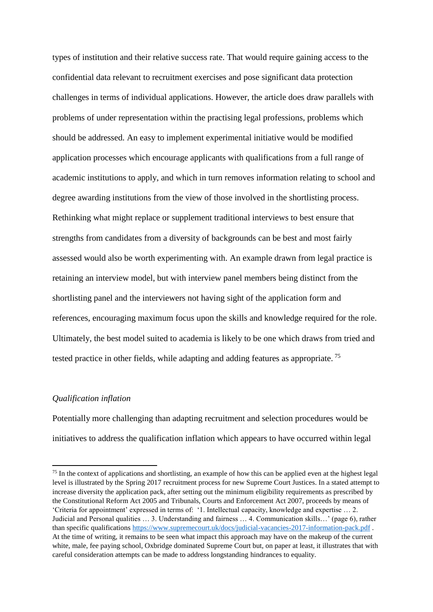types of institution and their relative success rate. That would require gaining access to the confidential data relevant to recruitment exercises and pose significant data protection challenges in terms of individual applications. However, the article does draw parallels with problems of under representation within the practising legal professions, problems which should be addressed. An easy to implement experimental initiative would be modified application processes which encourage applicants with qualifications from a full range of academic institutions to apply, and which in turn removes information relating to school and degree awarding institutions from the view of those involved in the shortlisting process. Rethinking what might replace or supplement traditional interviews to best ensure that strengths from candidates from a diversity of backgrounds can be best and most fairly assessed would also be worth experimenting with. An example drawn from legal practice is retaining an interview model, but with interview panel members being distinct from the shortlisting panel and the interviewers not having sight of the application form and references, encouraging maximum focus upon the skills and knowledge required for the role. Ultimately, the best model suited to academia is likely to be one which draws from tried and tested practice in other fields, while adapting and adding features as appropriate.<sup>75</sup>

# *Qualification inflation*

Potentially more challenging than adapting recruitment and selection procedures would be initiatives to address the qualification inflation which appears to have occurred within legal

<sup>&</sup>lt;sup>75</sup> In the context of applications and shortlisting, an example of how this can be applied even at the highest legal level is illustrated by the Spring 2017 recruitment process for new Supreme Court Justices. In a stated attempt to increase diversity the application pack, after setting out the minimum eligibility requirements as prescribed by the Constitutional Reform Act 2005 and Tribunals, Courts and Enforcement Act 2007, proceeds by means of 'Criteria for appointment' expressed in terms of: '1. Intellectual capacity, knowledge and expertise … 2. Judicial and Personal qualities … 3. Understanding and fairness … 4. Communication skills…' (page 6), rather than specific qualifications<https://www.supremecourt.uk/docs/judicial-vacancies-2017-information-pack.pdf>. At the time of writing, it remains to be seen what impact this approach may have on the makeup of the current white, male, fee paying school, Oxbridge dominated Supreme Court but, on paper at least, it illustrates that with careful consideration attempts can be made to address longstanding hindrances to equality.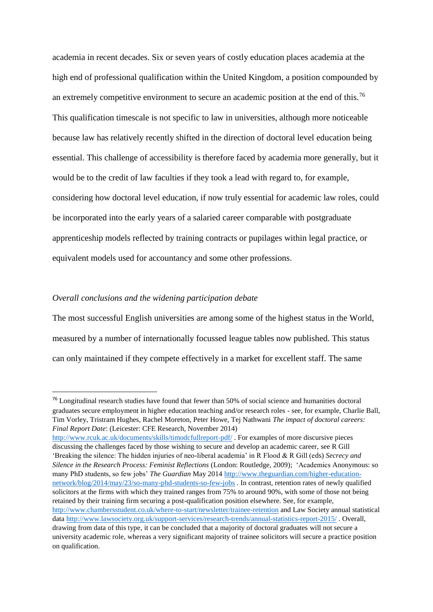academia in recent decades. Six or seven years of costly education places academia at the high end of professional qualification within the United Kingdom, a position compounded by an extremely competitive environment to secure an academic position at the end of this.<sup>76</sup> This qualification timescale is not specific to law in universities, although more noticeable because law has relatively recently shifted in the direction of doctoral level education being essential. This challenge of accessibility is therefore faced by academia more generally, but it would be to the credit of law faculties if they took a lead with regard to, for example, considering how doctoral level education, if now truly essential for academic law roles, could be incorporated into the early years of a salaried career comparable with postgraduate apprenticeship models reflected by training contracts or pupilages within legal practice, or equivalent models used for accountancy and some other professions.

# *Overall conclusions and the widening participation debate*

The most successful English universities are among some of the highest status in the World, measured by a number of internationally focussed league tables now published. This status can only maintained if they compete effectively in a market for excellent staff. The same

<http://www.rcuk.ac.uk/documents/skills/timodcfullreport-pdf/> . For examples of more discursive pieces discussing the challenges faced by those wishing to secure and develop an academic career, see R Gill 'Breaking the silence: The hidden injuries of neo-liberal academia' in R Flood & R Gill (eds) *Secrecy and Silence in the Research Process: Feminist Reflections* (London: Routledge, 2009); 'Academics Anonymous: so many PhD students, so few jobs' *The Guardian* May 2014 [http://www.theguardian.com/higher-education](http://www.theguardian.com/higher-education-network/blog/2014/may/23/so-many-phd-students-so-few-jobs)[network/blog/2014/may/23/so-many-phd-students-so-few-jobs](http://www.theguardian.com/higher-education-network/blog/2014/may/23/so-many-phd-students-so-few-jobs) . In contrast, retention rates of newly qualified solicitors at the firms with which they trained ranges from 75% to around 90%, with some of those not being retained by their training firm securing a post-qualification position elsewhere. See, for example, <http://www.chambersstudent.co.uk/where-to-start/newsletter/trainee-retention> and Law Society annual statistical data<http://www.lawsociety.org.uk/support-services/research-trends/annual-statistics-report-2015/> . Overall, drawing from data of this type, it can be concluded that a majority of doctoral graduates will not secure a university academic role, whereas a very significant majority of trainee solicitors will secure a practice position on qualification.

<sup>&</sup>lt;sup>76</sup> Longitudinal research studies have found that fewer than 50% of social science and humanities doctoral graduates secure employment in higher education teaching and/or research roles - see, for example, Charlie Ball, Tim Vorley, Tristram Hughes, Rachel Moreton, Peter Howe, Tej Nathwani *The impact of doctoral careers: Final Report Date*: (Leicester: CFE Research, November 2014)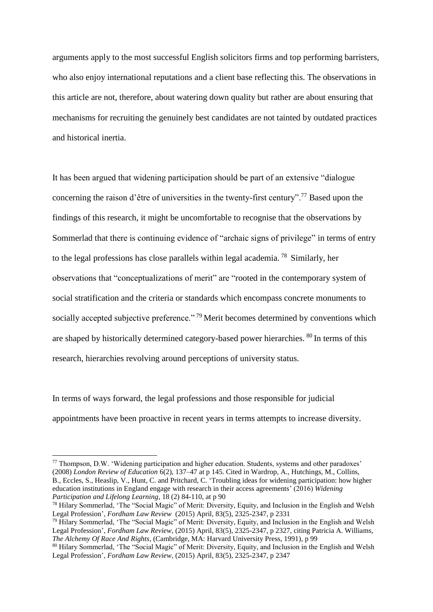arguments apply to the most successful English solicitors firms and top performing barristers, who also enjoy international reputations and a client base reflecting this. The observations in this article are not, therefore, about watering down quality but rather are about ensuring that mechanisms for recruiting the genuinely best candidates are not tainted by outdated practices and historical inertia.

It has been argued that widening participation should be part of an extensive "dialogue concerning the raison d'être of universities in the twenty-first century".<sup>77</sup> Based upon the findings of this research, it might be uncomfortable to recognise that the observations by Sommerlad that there is continuing evidence of "archaic signs of privilege" in terms of entry to the legal professions has close parallels within legal academia. <sup>78</sup> Similarly, her observations that "conceptualizations of merit" are "rooted in the contemporary system of social stratification and the criteria or standards which encompass concrete monuments to socially accepted subjective preference."<sup>79</sup> Merit becomes determined by conventions which are shaped by historically determined category-based power hierarchies. <sup>80</sup> In terms of this research, hierarchies revolving around perceptions of university status.

In terms of ways forward, the legal professions and those responsible for judicial appointments have been proactive in recent years in terms attempts to increase diversity.

<sup>77</sup> Thompson, D.W. 'Widening participation and higher education. Students, systems and other paradoxes' (2008) *London Review of Education* 6(2), 137–47 at p 145. Cited in Wardrop, A., Hutchings, M., Collins, B., Eccles, S., Heaslip, V., Hunt, C. and Pritchard, C. 'Troubling ideas for widening participation: how higher education institutions in England engage with research in their access agreements' (2016) *Widening Participation and Lifelong Learning*, 18 (2) 84-110, at p 90

<sup>78</sup> Hilary Sommerlad, ['The "Social Magic" of Merit: Diversity, Equity, and Inclusion in the English and Welsh](http://fordhamlawreview.org/articles/the-social-magic-of-merit-diversity-equity-and-inclusion-in-the-english-and-welsh-legal-profession)  [Legal Profession'](http://fordhamlawreview.org/articles/the-social-magic-of-merit-diversity-equity-and-inclusion-in-the-english-and-welsh-legal-profession), *Fordham Law Review* [\(2015\) April, 83\(5\),](http://fordhamlawreview.org/issues/137) 2325-2347, p 2331

<sup>79</sup> Hilary Sommerlad, ['The "Social Magic" of Merit: Diversity, Equity, and Inclusion in the English and Welsh](http://fordhamlawreview.org/articles/the-social-magic-of-merit-diversity-equity-and-inclusion-in-the-english-and-welsh-legal-profession)  [Legal Profession'](http://fordhamlawreview.org/articles/the-social-magic-of-merit-diversity-equity-and-inclusion-in-the-english-and-welsh-legal-profession), *Fordham Law Review*, (2015) [April, 83\(5\),](http://fordhamlawreview.org/issues/137) 2325-2347, p 2327, citing Patricia A. Williams, *The Alchemy Of Race And Rights*, (Cambridge, MA: Harvard University Press, 1991), p 99

<sup>&</sup>lt;sup>80</sup> Hilary Sommerlad, 'The "Social Magic" of Merit: Diversity, Equity, and Inclusion in the English and Welsh [Legal Profession'](http://fordhamlawreview.org/articles/the-social-magic-of-merit-diversity-equity-and-inclusion-in-the-english-and-welsh-legal-profession), *Fordham Law Review*, (2015) [April, 83\(5\),](http://fordhamlawreview.org/issues/137) 2325-2347, p 2347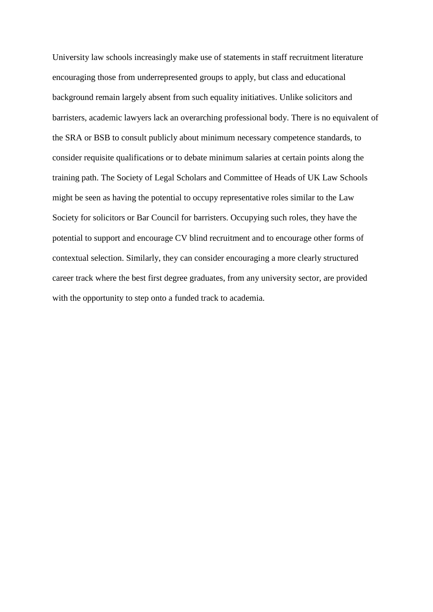University law schools increasingly make use of statements in staff recruitment literature encouraging those from underrepresented groups to apply, but class and educational background remain largely absent from such equality initiatives. Unlike solicitors and barristers, academic lawyers lack an overarching professional body. There is no equivalent of the SRA or BSB to consult publicly about minimum necessary competence standards, to consider requisite qualifications or to debate minimum salaries at certain points along the training path. The Society of Legal Scholars and Committee of Heads of UK Law Schools might be seen as having the potential to occupy representative roles similar to the Law Society for solicitors or Bar Council for barristers. Occupying such roles, they have the potential to support and encourage CV blind recruitment and to encourage other forms of contextual selection. Similarly, they can consider encouraging a more clearly structured career track where the best first degree graduates, from any university sector, are provided with the opportunity to step onto a funded track to academia.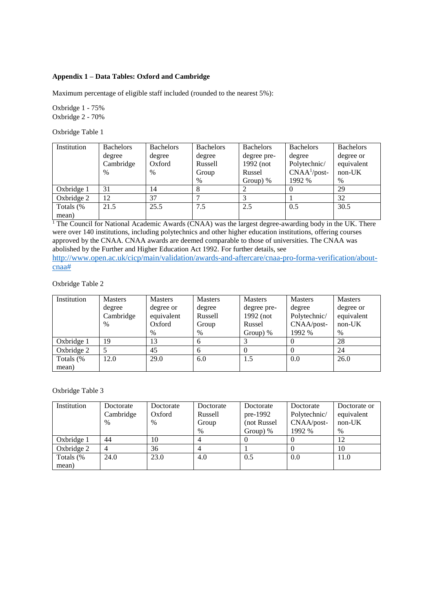# **Appendix 1 – Data Tables: Oxford and Cambridge**

Maximum percentage of eligible staff included (rounded to the nearest 5%):

Oxbridge 1 - 75% Oxbridge 2 - 70%

Oxbridge Table 1

| Institution | <b>Bachelors</b> | <b>Bachelors</b> | <b>Bachelors</b> | <b>Bachelors</b> | <b>Bachelors</b> | <b>Bachelors</b> |
|-------------|------------------|------------------|------------------|------------------|------------------|------------------|
|             | degree           | degree           | degree           | degree pre-      | degree           | degree or        |
|             | Cambridge        | Oxford           | Russell          | 1992 (not        | Polytechnic/     | equivalent       |
|             | $\frac{0}{0}$    | $\frac{0}{0}$    | Group            | Russel           | $CNAA1/post-$    | $non-UK$         |
|             |                  |                  | $\%$             | Group) $%$       | 1992 %           | $\%$             |
| Oxbridge 1  | 31               | 14               |                  |                  |                  | 29               |
| Oxbridge 2  | 12               | 37               |                  |                  |                  | 32               |
| Totals (%   | 21.5             | 25.5             | 7.5              | 2.5              | 0.5              | 30.5             |
| mean)       |                  |                  |                  |                  |                  |                  |

<sup>1</sup> The Council for National Academic Awards (CNAA) was the largest degree-awarding body in the UK. There were over 140 institutions, including polytechnics and other higher education institutions, offering courses approved by the CNAA. CNAA awards are deemed comparable to those of universities. The CNAA was abolished by the Further and Higher Education Act 1992. For further details, see

[http://www.open.ac.uk/cicp/main/validation/awards-and-aftercare/cnaa-pro-forma-verification/about](http://www.open.ac.uk/cicp/main/validation/awards-and-aftercare/cnaa-pro-forma-verification/about-cnaa)[cnaa#](http://www.open.ac.uk/cicp/main/validation/awards-and-aftercare/cnaa-pro-forma-verification/about-cnaa)

# Oxbridge Table 2

| Institution | <b>Masters</b> | <b>Masters</b> | <b>Masters</b> | <b>Masters</b> | <b>Masters</b> | <b>Masters</b> |
|-------------|----------------|----------------|----------------|----------------|----------------|----------------|
|             | degree         | degree or      | degree         | degree pre-    | degree         | degree or      |
|             | Cambridge      | equivalent     | Russell        | 1992 (not      | Polytechnic/   | equivalent     |
|             | %              | Oxford         | Group          | Russel         | CNAA/post-     | $non-UK$       |
|             |                | $\%$           | $\%$           | Group) $%$     | 1992 %         | $\%$           |
| Oxbridge 1  | 19             | 13             | 6              |                |                | 28             |
| Oxbridge 2  |                | 45             | 6              |                |                | 24             |
| Totals (%   | 12.0           | 29.0           | 6.0            | 1.5            | 0.0            | 26.0           |
| mean)       |                |                |                |                |                |                |

#### Oxbridge Table 3

| Institution | Doctorate | Doctorate     | Doctorate | Doctorate   | Doctorate    | Doctorate or |
|-------------|-----------|---------------|-----------|-------------|--------------|--------------|
|             | Cambridge | Oxford        | Russell   | pre-1992    | Polytechnic/ | equivalent   |
|             | $\%$      | $\frac{0}{0}$ | Group     | (not Russel | CNAA/post-   | $non-UK$     |
|             |           |               | $\%$      | Group) $%$  | 1992 %       | $\%$         |
| Oxbridge 1  | 44        | 10            | 4         |             |              | 12           |
| Oxbridge 2  |           | 36            | 4         |             |              | 10           |
| Totals (%   | 24.0      | 23.0          | 4.0       | 0.5         | 0.0          | 11.0         |
| mean)       |           |               |           |             |              |              |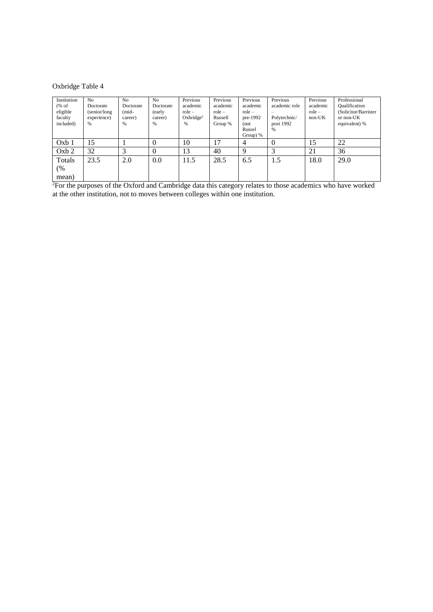# Oxbridge Table 4

| Institution<br>% of<br>eligible<br>faculty<br>included) | N <sub>0</sub><br>Doctorate<br>(senior/long<br>experience)<br>$\frac{9}{6}$ | No<br>Doctorate<br>$(mid-$<br>career)<br>$\%$ | N <sub>o</sub><br>Doctorate<br>(early<br>career)<br>% | Previous<br>academic<br>$role -$<br>Oxbridge <sup>2</sup><br>$\%$ | Previous<br>academic<br>$role -$<br>Russell<br>Group % | Previous<br>academic<br>$role -$<br>pre-1992<br>(not<br>Russel<br>Group) $%$ | Previous<br>academic role<br>Polytechnic/<br>post 1992<br>$\frac{0}{0}$ | Previous<br>academic<br>$role -$<br>$non-UK$ | Professional<br><b>Qualification</b><br>(Solicitor/Barrister<br>or non-UK<br>equivalent) % |
|---------------------------------------------------------|-----------------------------------------------------------------------------|-----------------------------------------------|-------------------------------------------------------|-------------------------------------------------------------------|--------------------------------------------------------|------------------------------------------------------------------------------|-------------------------------------------------------------------------|----------------------------------------------|--------------------------------------------------------------------------------------------|
| Oxb1                                                    | 15                                                                          |                                               | $\theta$                                              | 10                                                                | 17                                                     | 4                                                                            | $\Omega$                                                                | 15                                           | 22                                                                                         |
| Oxb2                                                    | 32                                                                          | 3                                             | $\Omega$                                              | 13                                                                | 40                                                     | Q                                                                            | 3                                                                       | 21                                           | 36                                                                                         |
| Totals                                                  | 23.5                                                                        | 2.0                                           | 0.0                                                   | 11.5                                                              | 28.5                                                   | 6.5                                                                          | 1.5                                                                     | 18.0                                         | 29.0                                                                                       |
| (%<br>mean)                                             |                                                                             |                                               |                                                       |                                                                   |                                                        |                                                                              |                                                                         |                                              |                                                                                            |

<sup>2</sup>For the purposes of the Oxford and Cambridge data this category relates to those academics who have worked at the other institution, not to moves between colleges within one institution.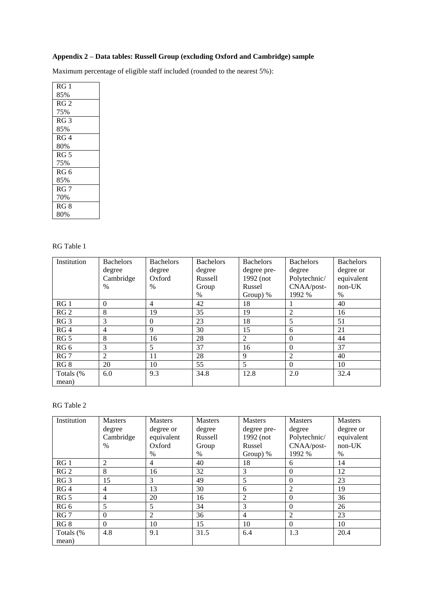# **Appendix 2 – Data tables: Russell Group (excluding Oxford and Cambridge) sample**

Maximum percentage of eligible staff included (rounded to the nearest 5%):

| RG <sub>1</sub> |
|-----------------|
| 85%             |
| RG <sub>2</sub> |
| 75%             |
| RG <sub>3</sub> |
| 85%             |
| RG <sub>4</sub> |
| 80%             |
| RG <sub>5</sub> |
| 75%             |
| RG6             |
| 85%             |
| RG <sub>7</sub> |
| 70%             |
| RG <sub>8</sub> |
| 80%             |

# RG Table 1

| Institution     | <b>Bachelors</b> | <b>Bachelors</b> | <b>Bachelors</b> | <b>Bachelors</b> | <b>Bachelors</b> | <b>Bachelors</b> |
|-----------------|------------------|------------------|------------------|------------------|------------------|------------------|
|                 | degree           | degree           | degree           | degree pre-      | degree           | degree or        |
|                 | Cambridge        | Oxford           | Russell          | 1992 (not        | Polytechnic/     | equivalent       |
|                 | $\frac{0}{0}$    | $\frac{0}{0}$    | Group            | Russel           | CNAA/post-       | non-UK           |
|                 |                  |                  | $\frac{0}{0}$    | Group) %         | 1992 %           | $\frac{0}{0}$    |
| RG <sub>1</sub> | $\Omega$         | $\overline{4}$   | 42               | 18               | $\mathbf{I}$     | 40               |
| RG <sub>2</sub> | 8                | 19               | 35               | 19               | $\overline{2}$   | 16               |
| RG <sub>3</sub> | 3                | $\Omega$         | 23               | 18               | 5                | 51               |
| RG4             | $\overline{4}$   | 9                | 30               | 15               | 6                | 21               |
| RG <sub>5</sub> | 8                | 16               | 28               | 2                | $\mathbf{0}$     | 44               |
| RG <sub>6</sub> | 3                | 5                | 37               | 16               | $\Omega$         | 37               |
| RG <sub>7</sub> | 2                | 11               | 28               | 9                | 2                | 40               |
| RG <sub>8</sub> | 20               | 10               | 55               | 5                | $\Omega$         | 10               |
| Totals (%       | 6.0              | 9.3              | 34.8             | 12.8             | 2.0              | 32.4             |
| mean)           |                  |                  |                  |                  |                  |                  |

# RG Table 2

| Institution     | <b>Masters</b> | <b>Masters</b> | <b>Masters</b> | Masters        | <b>Masters</b> | Masters    |
|-----------------|----------------|----------------|----------------|----------------|----------------|------------|
|                 | degree         | degree or      | degree         | degree pre-    | degree         | degree or  |
|                 | Cambridge      | equivalent     | Russell        | 1992 (not      | Polytechnic/   | equivalent |
|                 | $\%$           | Oxford         | Group          | Russel         | CNAA/post-     | $non-UK$   |
|                 |                | $\%$           | $\%$           | Group) $%$     | 1992 %         | $\%$       |
| RG <sub>1</sub> | 2              | $\overline{4}$ | 40             | 18             | 6              | 14         |
| RG <sub>2</sub> | 8              | 16             | 32             | 3              | $\Omega$       | 12         |
| RG <sub>3</sub> | 15             | 3              | 49             | 5              | $\overline{0}$ | 23         |
| RG4             | 4              | 13             | 30             | 6              | $\overline{2}$ | 19         |
| RG <sub>5</sub> | 4              | 20             | 16             | $\overline{2}$ | $\Omega$       | 36         |
| RG 6            | 5              | 5              | 34             | 3              | $\Omega$       | 26         |
| RG <sub>7</sub> | $\mathbf{0}$   | 2              | 36             | $\overline{4}$ | $\overline{c}$ | 23         |
| RG <sub>8</sub> | $\Omega$       | 10             | 15             | 10             | $\Omega$       | 10         |
| Totals (%       | 4.8            | 9.1            | 31.5           | 6.4            | 1.3            | 20.4       |
| mean)           |                |                |                |                |                |            |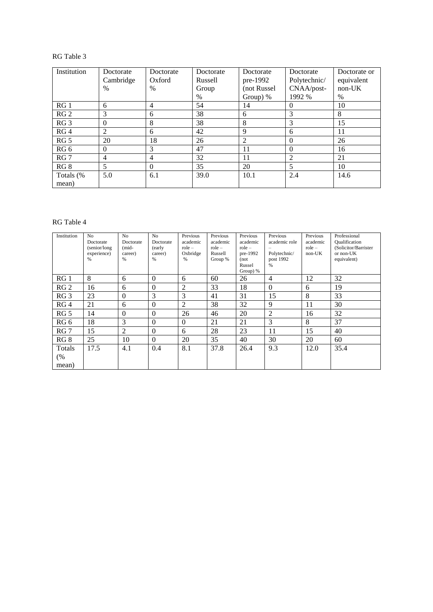# RG Table 3

| Institution     | Doctorate | Doctorate      | Doctorate | Doctorate   | Doctorate      | Doctorate or |
|-----------------|-----------|----------------|-----------|-------------|----------------|--------------|
|                 | Cambridge | Oxford         | Russell   | pre-1992    | Polytechnic/   | equivalent   |
|                 | $\%$      | $\%$           | Group     | (not Russel | CNAA/post-     | $non-UK$     |
|                 |           |                | $\%$      | Group) $%$  | 1992 %         | $\%$         |
| RG <sub>1</sub> | 6         | $\overline{4}$ | 54        | 14          | $\Omega$       | 10           |
| RG <sub>2</sub> | 3         | 6              | 38        | 6           | 3              | 8            |
| RG <sub>3</sub> | $\theta$  | 8              | 38        | 8           | 3              | 15           |
| RG4             | 2         | 6              | 42        | 9           | 6              | 11           |
| RG <sub>5</sub> | 20        | 18             | 26        | 2           | $\Omega$       | 26           |
| RG 6            | $\theta$  | 3              | 47        | 11          | $\overline{0}$ | 16           |
| RG <sub>7</sub> | 4         | $\overline{4}$ | 32        | 11          | $\overline{2}$ | 21           |
| RG 8            | 5         | $\Omega$       | 35        | 20          | 5              | 10           |
| Totals (%       | 5.0       | 6.1            | 39.0      | 10.1        | 2.4            | 14.6         |
| mean)           |           |                |           |             |                |              |

# RG Table 4

| Institution     | N <sub>o</sub> | N <sub>o</sub> | N <sub>o</sub> | Previous       | Previous | Previous   | Previous       | Previous | Professional         |
|-----------------|----------------|----------------|----------------|----------------|----------|------------|----------------|----------|----------------------|
|                 | Doctorate      | Doctorate      | Doctorate      | academic       | academic | academic   | academic role  | academic | <b>Qualification</b> |
|                 | (senior/long)  | $(mid-$        | (early         | $role -$       | $role -$ | $role -$   |                | $role -$ | (Solicitor/Barrister |
|                 | experience)    | career)        | career)        | Oxbridge       | Russell  | pre-1992   | Polytechnic/   | $non-UK$ | or non-UK            |
|                 | $\%$           | %              | %              | %              | Group %  | (not)      | post 1992      |          | equivalent)          |
|                 |                |                |                |                |          | Russel     | $\%$           |          |                      |
|                 |                |                |                |                |          | Group) $%$ |                |          |                      |
| RG <sub>1</sub> | 8              | 6              | $\mathbf{0}$   | 6              | 60       | 26         | $\overline{4}$ | 12       | 32                   |
| RG <sub>2</sub> | 16             | 6              | $\overline{0}$ | $\overline{2}$ | 33       | 18         | $\Omega$       | 6        | 19                   |
| RG <sub>3</sub> | 23             | $\Omega$       | 3              | 3              | 41       | 31         | 15             | 8        | 33                   |
| RG <sub>4</sub> | 21             | 6              | $\Omega$       | 2              | 38       | 32         | 9              | 11       | 30                   |
| RG <sub>5</sub> | 14             | $\Omega$       | $\Omega$       | 26             | 46       | 20         | $\overline{2}$ | 16       | 32                   |
| RG 6            | 18             | 3              | $\overline{0}$ | $\mathbf{0}$   | 21       | 21         | 3              | 8        | 37                   |
| RG <sub>7</sub> | 15             | 2              | $\Omega$       | 6              | 28       | 23         | 11             | 15       | 40                   |
| RG8             | 25             | 10             | $\Omega$       | 20             | 35       | 40         | 30             | 20       | 60                   |
| Totals          | 17.5           | 4.1            | 0.4            | 8.1            | 37.8     | 26.4       | 9.3            | 12.0     | 35.4                 |
| (%              |                |                |                |                |          |            |                |          |                      |
| mean)           |                |                |                |                |          |            |                |          |                      |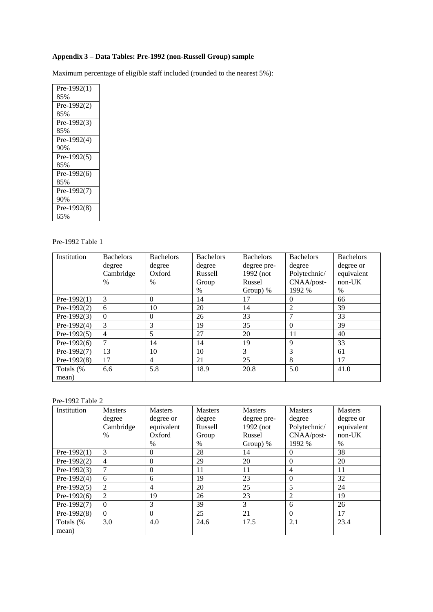# **Appendix 3 – Data Tables: Pre-1992 (non-Russell Group) sample**

Maximum percentage of eligible staff included (rounded to the nearest 5%):

| Pre-1992 $(1)$<br>85%<br>$Pre-1992(2)$<br>85%<br>Pre-1992 $(3)$<br>85%<br>Pre-1992(4)<br>90%<br>Pre-1992 $(5)$<br>85%<br>Pre-1992 $(6)$<br>85%<br>Pre-1992 $(7)$<br>90%<br>Pre-1992(8)<br>65% |  |
|-----------------------------------------------------------------------------------------------------------------------------------------------------------------------------------------------|--|
|                                                                                                                                                                                               |  |
|                                                                                                                                                                                               |  |
|                                                                                                                                                                                               |  |
|                                                                                                                                                                                               |  |
|                                                                                                                                                                                               |  |
|                                                                                                                                                                                               |  |
|                                                                                                                                                                                               |  |
|                                                                                                                                                                                               |  |
|                                                                                                                                                                                               |  |
|                                                                                                                                                                                               |  |
|                                                                                                                                                                                               |  |
|                                                                                                                                                                                               |  |
|                                                                                                                                                                                               |  |
|                                                                                                                                                                                               |  |
|                                                                                                                                                                                               |  |
|                                                                                                                                                                                               |  |

# Pre-1992 Table 1

| Institution    | <b>Bachelors</b> | <b>Bachelors</b> | <b>Bachelors</b> | <b>Bachelors</b> | <b>Bachelors</b> | <b>Bachelors</b> |
|----------------|------------------|------------------|------------------|------------------|------------------|------------------|
|                | degree           | degree           | degree           | degree pre-      | degree           | degree or        |
|                | Cambridge        | Oxford           | Russell          | 1992 (not        | Polytechnic/     | equivalent       |
|                | $\%$             | $\frac{0}{0}$    | Group            | Russel           | CNAA/post-       | $non-UK$         |
|                |                  |                  | $\%$             | Group) $%$       | 1992 %           | $\frac{0}{0}$    |
| Pre-1992 $(1)$ | 3                | $\Omega$         | 14               | 17               | $\theta$         | 66               |
| Pre-1992 $(2)$ | 6                | 10               | 20               | 14               | $\overline{c}$   | 39               |
| Pre-1992 $(3)$ | $\Omega$         | $\theta$         | 26               | 33               | 7                | 33               |
| Pre-1992 $(4)$ | 3                | 3                | 19               | 35               | $\Omega$         | 39               |
| Pre-1992 $(5)$ | 4                | 5                | 27               | 20               | 11               | 40               |
| Pre- $1992(6)$ | $\overline{7}$   | 14               | 14               | 19               | 9                | 33               |
| Pre-1992 $(7)$ | 13               | 10               | 10               | 3                | 3                | 61               |
| Pre- $1992(8)$ | 17               | $\overline{4}$   | 21               | 25               | 8                | 17               |
| Totals (%      | 6.6              | 5.8              | 18.9             | 20.8             | 5.0              | 41.0             |
| mean)          |                  |                  |                  |                  |                  |                  |

# Pre-1992 Table 2

| Institution    | <b>Masters</b> | <b>Masters</b> | <b>Masters</b> | Masters     | <b>Masters</b> | <b>Masters</b> |
|----------------|----------------|----------------|----------------|-------------|----------------|----------------|
|                | degree         | degree or      | degree         | degree pre- | degree         | degree or      |
|                | Cambridge      | equivalent     | Russell        | 1992 (not   | Polytechnic/   | equivalent     |
|                | $\frac{0}{0}$  | Oxford         | Group          | Russel      | CNAA/post-     | $non-UK$       |
|                |                | $\%$           | $\%$           | Group) $%$  | 1992 %         | $\frac{0}{0}$  |
| $Pre-1992(1)$  | 3              | $\mathbf{0}$   | 28             | 14          | $\theta$       | 38             |
| Pre-1992 $(2)$ | 4              | $\mathbf{0}$   | 29             | 20          | $\theta$       | 20             |
| Pre-1992 $(3)$ |                | $\mathbf{0}$   | 11             | 11          | $\overline{4}$ | 11             |
| Pre-1992 $(4)$ | 6              | 6              | 19             | 23          | $\theta$       | 32             |
| Pre-1992 $(5)$ | $\overline{c}$ | 4              | 20             | 25          | 5              | 24             |
| Pre- $1992(6)$ | 2              | 19             | 26             | 23          | 2              | 19             |
| $Pre-1992(7)$  | $\Omega$       | 3              | 39             | 3           | 6              | 26             |
| Pre- $1992(8)$ | $\Omega$       | $\Omega$       | 25             | 21          | $\Omega$       | 17             |
| Totals (%      | 3.0            | 4.0            | 24.6           | 17.5        | 2.1            | 23.4           |
| mean)          |                |                |                |             |                |                |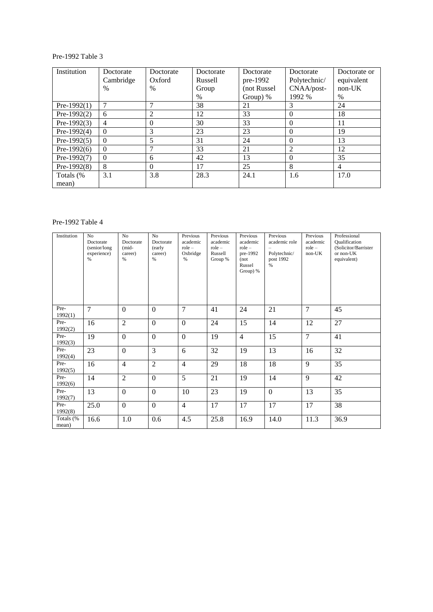# Pre-1992 Table 3

| Institution    | Doctorate    | Doctorate     | Doctorate | Doctorate   |                | Doctorate or   |
|----------------|--------------|---------------|-----------|-------------|----------------|----------------|
|                | Cambridge    | Oxford        | Russell   | pre-1992    | Polytechnic/   | equivalent     |
|                | $\%$         | $\frac{0}{0}$ | Group     | (not Russel | CNAA/post-     | $non-UK$       |
|                |              |               | $\%$      | Group) $%$  | 1992 %         | $\%$           |
| $Pre-1992(1)$  | 7            | 7             | 38        | 21          | 3              | 24             |
| Pre-1992 $(2)$ | 6            | 2             | 12        | 33          | $\mathbf{0}$   | 18             |
| Pre-1992 $(3)$ | 4            | $\Omega$      | 30        | 33          | $\overline{0}$ | 11             |
| Pre-1992 $(4)$ | $\Omega$     | 3             | 23        | 23          | $\Omega$       | 19             |
| Pre-1992 $(5)$ | $\Omega$     | 5             | 31        | 24          | $\Omega$       | 13             |
| Pre- $1992(6)$ | $\mathbf{0}$ | 7             | 33        | 21          | 2              | 12             |
| Pre-1992(7)    | $\Omega$     | 6             | 42        | 13          | $\theta$       | 35             |
| Pre- $1992(8)$ | 8            | $\Omega$      | 17        | 25          | 8              | $\overline{4}$ |
| Totals (%      | 3.1          | 3.8           | 28.3      | 24.1        | 1.6            | 17.0           |
| mean)          |              |               |           |             |                |                |

# Pre-1992 Table 4

| Institution        | No<br>Doctorate<br>(senior/long<br>experience)<br>$\%$ | N <sub>o</sub><br>Doctorate<br>(mid-<br>career)<br>$\%$ | N <sub>o</sub><br>Doctorate<br>(early<br>career)<br>$\%$ | Previous<br>academic<br>$role -$<br>Oxbridge<br>% | Previous<br>academic<br>$role -$<br>Russell<br>Group % | Previous<br>academic<br>$role -$<br>pre-1992<br>(not)<br>Russel<br>Group) % | Previous<br>academic role<br>Polytechnic/<br>post 1992<br>$\%$ | Previous<br>academic<br>$role -$<br>non-UK | Professional<br><b>Qualification</b><br>(Solicitor/Barrister<br>or non-UK<br>equivalent) |
|--------------------|--------------------------------------------------------|---------------------------------------------------------|----------------------------------------------------------|---------------------------------------------------|--------------------------------------------------------|-----------------------------------------------------------------------------|----------------------------------------------------------------|--------------------------------------------|------------------------------------------------------------------------------------------|
| Pre-<br>1992(1)    | $\overline{7}$                                         | $\overline{0}$                                          | $\mathbf{0}$                                             | $\overline{7}$                                    | 41                                                     | 24                                                                          | 21                                                             | $\overline{7}$                             | 45                                                                                       |
| Pre-<br>1992(2)    | 16                                                     | $\overline{2}$                                          | $\boldsymbol{0}$                                         | $\mathbf{0}$                                      | 24                                                     | 15                                                                          | 14                                                             | 12                                         | 27                                                                                       |
| Pre-<br>1992(3)    | 19                                                     | $\mathbf{0}$                                            | $\overline{0}$                                           | $\boldsymbol{0}$                                  | 19                                                     | $\overline{4}$                                                              | 15                                                             | $\overline{7}$                             | 41                                                                                       |
| Pre-<br>1992(4)    | 23                                                     | $\mathbf{0}$                                            | 3                                                        | 6                                                 | 32                                                     | 19                                                                          | 13                                                             | 16                                         | 32                                                                                       |
| Pre-<br>1992(5)    | 16                                                     | $\overline{4}$                                          | $\overline{2}$                                           | $\overline{4}$                                    | 29                                                     | 18                                                                          | 18                                                             | 9                                          | 35                                                                                       |
| Pre-<br>1992(6)    | 14                                                     | $\overline{2}$                                          | $\boldsymbol{0}$                                         | $\overline{5}$                                    | 21                                                     | 19                                                                          | 14                                                             | 9                                          | 42                                                                                       |
| Pre-<br>1992(7)    | 13                                                     | $\overline{0}$                                          | $\boldsymbol{0}$                                         | 10                                                | 23                                                     | 19                                                                          | $\theta$                                                       | 13                                         | 35                                                                                       |
| Pre-<br>1992(8)    | 25.0                                                   | $\mathbf{0}$                                            | $\boldsymbol{0}$                                         | $\overline{4}$                                    | 17                                                     | 17                                                                          | 17                                                             | 17                                         | 38                                                                                       |
| Totals (%<br>mean) | 16.6                                                   | 1.0                                                     | 0.6                                                      | 4.5                                               | 25.8                                                   | 16.9                                                                        | 14.0                                                           | 11.3                                       | 36.9                                                                                     |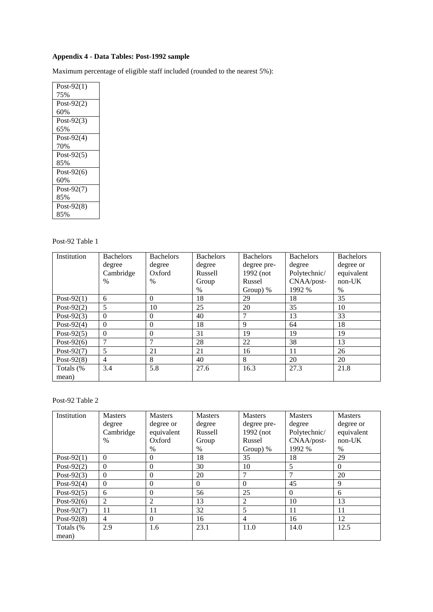# **Appendix 4 - Data Tables: Post-1992 sample**

Maximum percentage of eligible staff included (rounded to the nearest 5%):

| Post-92 $(1)$ |
|---------------|
| 75%           |
| Post-92 $(2)$ |
| 60%           |
| Post-92 $(3)$ |
| 65%           |
| Post-92 $(4)$ |
| 70%           |
| Post-92 $(5)$ |
| 85%           |
| Post-92 $(6)$ |
| 60%           |
| Post-92 $(7)$ |
| 85%           |
| Post- $92(8)$ |
| 85%           |

# Post-92 Table 1

| Institution   | <b>Bachelors</b> | <b>Bachelors</b> | <b>Bachelors</b> | <b>Bachelors</b> | <b>Bachelors</b> | <b>Bachelors</b> |
|---------------|------------------|------------------|------------------|------------------|------------------|------------------|
|               | degree           | degree           | degree           | degree pre-      | degree           | degree or        |
|               | Cambridge        | Oxford           | <b>Russell</b>   | 1992 (not        | Polytechnic/     | equivalent       |
|               | $\%$             | $\frac{0}{0}$    | Group            | Russel           | CNAA/post-       | $non-UK$         |
|               |                  |                  | $\frac{0}{0}$    | Group) $%$       | 1992 %           | $\%$             |
| Post-92 $(1)$ | 6                | $\Omega$         | 18               | 29               | 18               | 35               |
| Post-92 $(2)$ | 5                | 10               | 25               | 20               | 35               | 10               |
| Post-92 $(3)$ | $\Omega$         | $\theta$         | 40               | $\mathcal{I}$    | 13               | 33               |
| Post-92 $(4)$ | $\Omega$         | $\Omega$         | 18               | 9                | 64               | 18               |
| Post-92 $(5)$ | $\theta$         | $\overline{0}$   | 31               | 19               | 19               | 19               |
| Post-92 $(6)$ | $\mathcal{I}$    | 7                | 28               | 22               | 38               | 13               |
| Post-92 $(7)$ | 5                | 21               | 21               | 16               | 11               | 26               |
| Post-92 $(8)$ | $\overline{4}$   | 8                | 40               | 8                | 20               | 20               |
| Totals (%     | 3.4              | 5.8              | 27.6             | 16.3             | 27.3             | 21.8             |
| mean)         |                  |                  |                  |                  |                  |                  |

# Post-92 Table 2

| Institution   | <b>Masters</b> | <b>Masters</b> | <b>Masters</b> | Masters        | <b>Masters</b> | <b>Masters</b> |
|---------------|----------------|----------------|----------------|----------------|----------------|----------------|
|               | degree         | degree or      | degree         | degree pre-    | degree         | degree or      |
|               | Cambridge      | equivalent     | Russell        | 1992 (not      | Polytechnic/   | equivalent     |
|               | $\%$           | Oxford         | Group          | Russel         | CNAA/post-     | $non-UK$       |
|               |                | $\%$           | $\%$           | Group) %       | 1992 %         | $\%$           |
| Post-92 $(1)$ | $\mathbf{0}$   | $\overline{0}$ | 18             | 35             | 18             | 29             |
| Post-92 $(2)$ | $\Omega$       | $\theta$       | 30             | 10             | 5              | $\Omega$       |
| Post-92 $(3)$ | $\mathbf{0}$   | $\overline{0}$ | 20             | $\mathcal{I}$  | 7              | 20             |
| Post-92 $(4)$ | $\Omega$       | $\theta$       | $\Omega$       | $\Omega$       | 45             | 9              |
| Post-92 $(5)$ | 6              | $\overline{0}$ | 56             | 25             | $\Omega$       | 6              |
| Post-92 $(6)$ | 2              | 2              | 13             | 2              | 10             | 13             |
| Post-92 $(7)$ | 11             | 11             | 32             | 5              | 11             | 11             |
| Post-92 $(8)$ | 4              | $\theta$       | 16             | $\overline{4}$ | 16             | 12             |
| Totals (%     | 2.9            | 1.6            | 23.1           | 11.0           | 14.0           | 12.5           |
| mean)         |                |                |                |                |                |                |